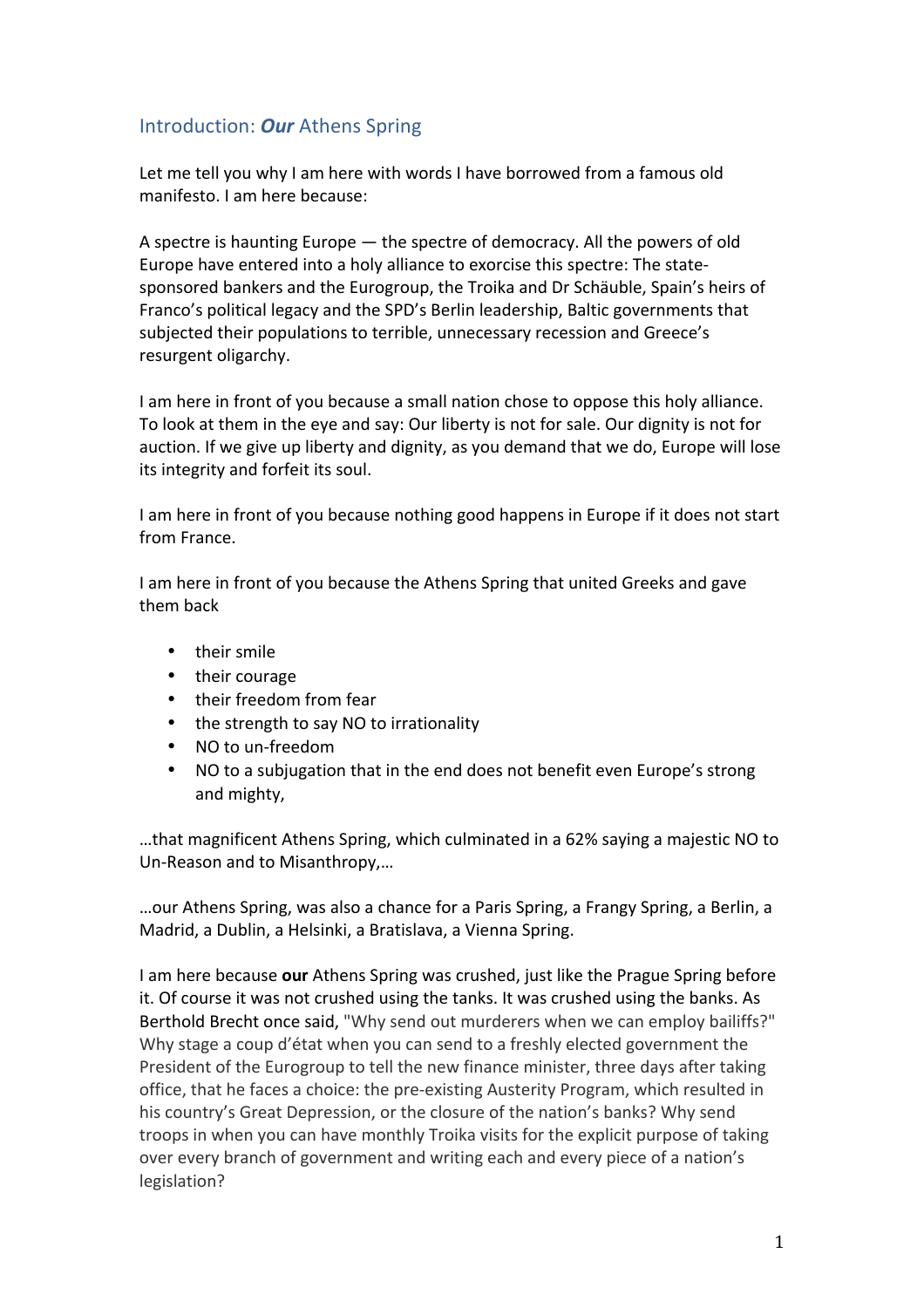# Introduction: *Our* Athens Spring

Let me tell you why I am here with words I have borrowed from a famous old manifesto. I am here because:

A spectre is haunting Europe  $-$  the spectre of democracy. All the powers of old Europe have entered into a holy alliance to exorcise this spectre: The statesponsored bankers and the Eurogroup, the Troika and Dr Schäuble, Spain's heirs of Franco's political legacy and the SPD's Berlin leadership, Baltic governments that subjected their populations to terrible, unnecessary recession and Greece's resurgent oligarchy.

I am here in front of you because a small nation chose to oppose this holy alliance. To look at them in the eye and say: Our liberty is not for sale. Our dignity is not for auction. If we give up liberty and dignity, as you demand that we do, Europe will lose its integrity and forfeit its soul.

I am here in front of you because nothing good happens in Europe if it does not start from France.

I am here in front of you because the Athens Spring that united Greeks and gave them back 

- their smile
- their courage
- their freedom from fear
- the strength to say NO to irrationality
- NO to un-freedom
- NO to a subjugation that in the end does not benefit even Europe's strong and mighty,

...that magnificent Athens Spring, which culminated in a 62% saying a majestic NO to Un-Reason and to Misanthropy....

...our Athens Spring, was also a chance for a Paris Spring, a Frangy Spring, a Berlin, a Madrid, a Dublin, a Helsinki, a Bratislava, a Vienna Spring.

I am here because **our** Athens Spring was crushed, just like the Prague Spring before it. Of course it was not crushed using the tanks. It was crushed using the banks. As Berthold Brecht once said, "Why send out murderers when we can employ bailiffs?" Why stage a coup d'état when you can send to a freshly elected government the President of the Eurogroup to tell the new finance minister, three days after taking office, that he faces a choice: the pre-existing Austerity Program, which resulted in his country's Great Depression, or the closure of the nation's banks? Why send troops in when you can have monthly Troika visits for the explicit purpose of taking over every branch of government and writing each and every piece of a nation's legislation?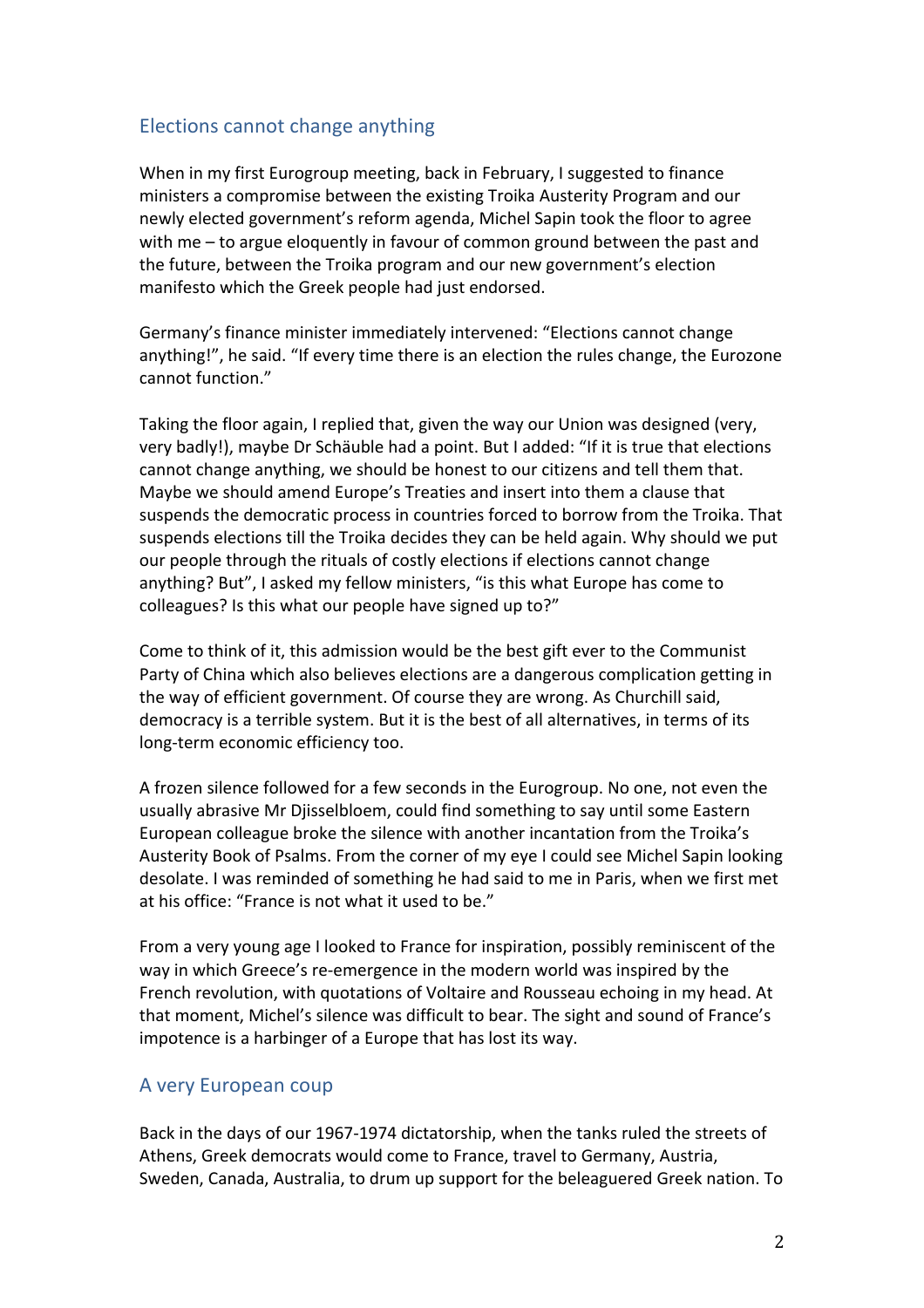## Elections cannot change anything

When in my first Eurogroup meeting, back in February, I suggested to finance ministers a compromise between the existing Troika Austerity Program and our newly elected government's reform agenda, Michel Sapin took the floor to agree with  $me$  – to argue eloquently in favour of common ground between the past and the future, between the Troika program and our new government's election manifesto which the Greek people had just endorsed.

Germany's finance minister immediately intervened: "Elections cannot change anything!", he said. "If every time there is an election the rules change, the Eurozone cannot function."

Taking the floor again, I replied that, given the way our Union was designed (very, very badly!), maybe Dr Schäuble had a point. But I added: "If it is true that elections cannot change anything, we should be honest to our citizens and tell them that. Maybe we should amend Europe's Treaties and insert into them a clause that suspends the democratic process in countries forced to borrow from the Troika. That suspends elections till the Troika decides they can be held again. Why should we put our people through the rituals of costly elections if elections cannot change anything? But", I asked my fellow ministers, "is this what Europe has come to colleagues? Is this what our people have signed up to?"

Come to think of it, this admission would be the best gift ever to the Communist Party of China which also believes elections are a dangerous complication getting in the way of efficient government. Of course they are wrong. As Churchill said, democracy is a terrible system. But it is the best of all alternatives, in terms of its long-term economic efficiency too.

A frozen silence followed for a few seconds in the Eurogroup. No one, not even the usually abrasive Mr Diisselbloem, could find something to say until some Eastern European colleague broke the silence with another incantation from the Troika's Austerity Book of Psalms. From the corner of my eye I could see Michel Sapin looking desolate. I was reminded of something he had said to me in Paris, when we first met at his office: "France is not what it used to be."

From a very young age I looked to France for inspiration, possibly reminiscent of the way in which Greece's re-emergence in the modern world was inspired by the French revolution, with quotations of Voltaire and Rousseau echoing in my head. At that moment, Michel's silence was difficult to bear. The sight and sound of France's impotence is a harbinger of a Europe that has lost its way.

### A very European coup

Back in the days of our 1967-1974 dictatorship, when the tanks ruled the streets of Athens, Greek democrats would come to France, travel to Germany, Austria, Sweden, Canada, Australia, to drum up support for the beleaguered Greek nation. To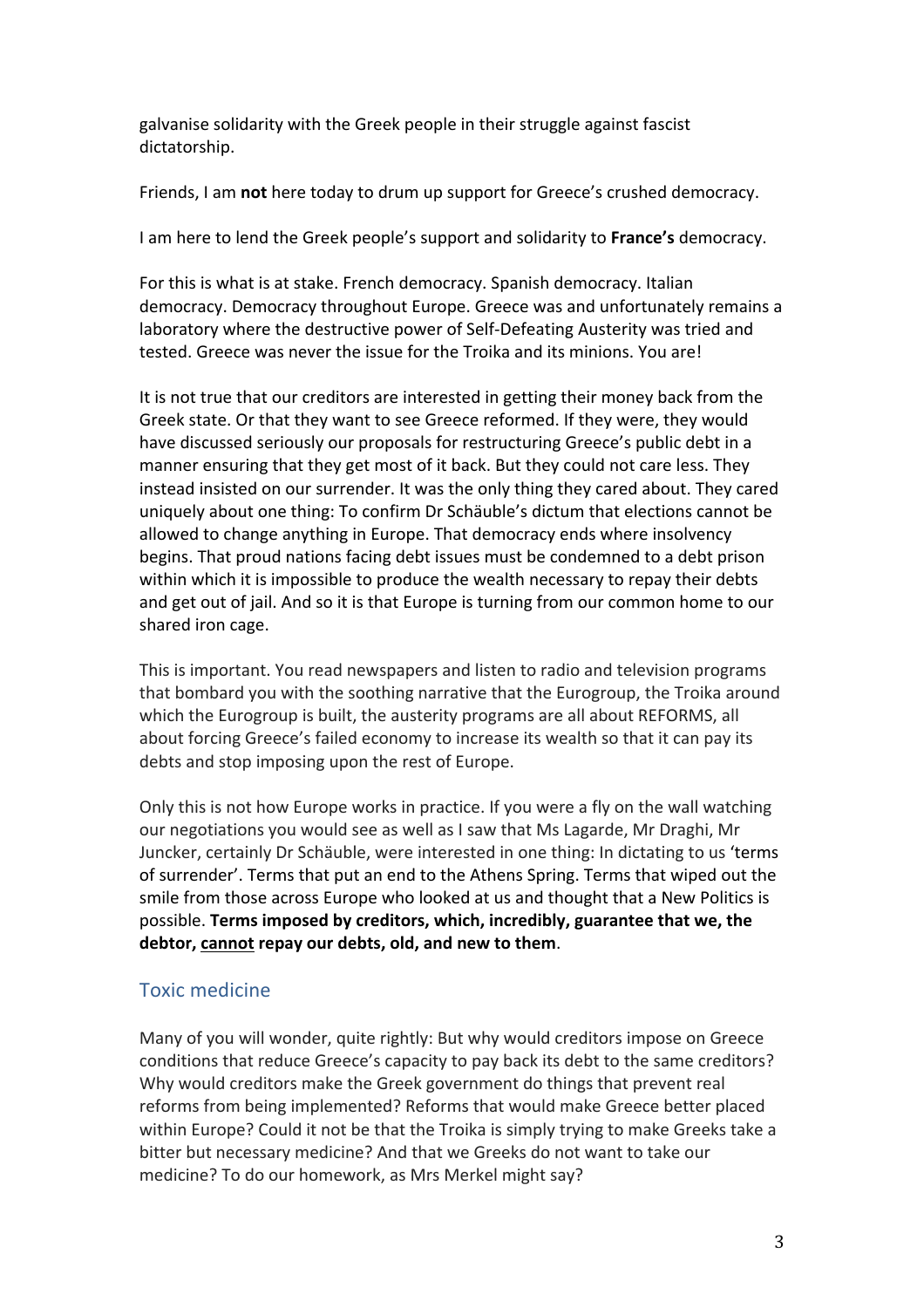galvanise solidarity with the Greek people in their struggle against fascist dictatorship. 

Friends, I am not here today to drum up support for Greece's crushed democracy.

I am here to lend the Greek people's support and solidarity to **France's** democracy.

For this is what is at stake. French democracy. Spanish democracy. Italian democracy. Democracy throughout Europe. Greece was and unfortunately remains a laboratory where the destructive power of Self-Defeating Austerity was tried and tested. Greece was never the issue for the Troika and its minions. You are!

It is not true that our creditors are interested in getting their money back from the Greek state. Or that they want to see Greece reformed. If they were, they would have discussed seriously our proposals for restructuring Greece's public debt in a manner ensuring that they get most of it back. But they could not care less. They instead insisted on our surrender. It was the only thing they cared about. They cared uniquely about one thing: To confirm Dr Schäuble's dictum that elections cannot be allowed to change anything in Europe. That democracy ends where insolvency begins. That proud nations facing debt issues must be condemned to a debt prison within which it is impossible to produce the wealth necessary to repay their debts and get out of jail. And so it is that Europe is turning from our common home to our shared iron cage.

This is important. You read newspapers and listen to radio and television programs that bombard you with the soothing narrative that the Eurogroup, the Troika around which the Eurogroup is built, the austerity programs are all about REFORMS, all about forcing Greece's failed economy to increase its wealth so that it can pay its debts and stop imposing upon the rest of Europe.

Only this is not how Europe works in practice. If you were a fly on the wall watching our negotiations you would see as well as I saw that Ms Lagarde, Mr Draghi, Mr Juncker, certainly Dr Schäuble, were interested in one thing: In dictating to us 'terms of surrender'. Terms that put an end to the Athens Spring. Terms that wiped out the smile from those across Europe who looked at us and thought that a New Politics is possible. Terms imposed by creditors, which, incredibly, guarantee that we, the **debtor, cannot repay our debts, old, and new to them**. 

# Toxic medicine

Many of you will wonder, quite rightly: But why would creditors impose on Greece conditions that reduce Greece's capacity to pay back its debt to the same creditors? Why would creditors make the Greek government do things that prevent real reforms from being implemented? Reforms that would make Greece better placed within Europe? Could it not be that the Troika is simply trying to make Greeks take a bitter but necessary medicine? And that we Greeks do not want to take our medicine? To do our homework, as Mrs Merkel might say?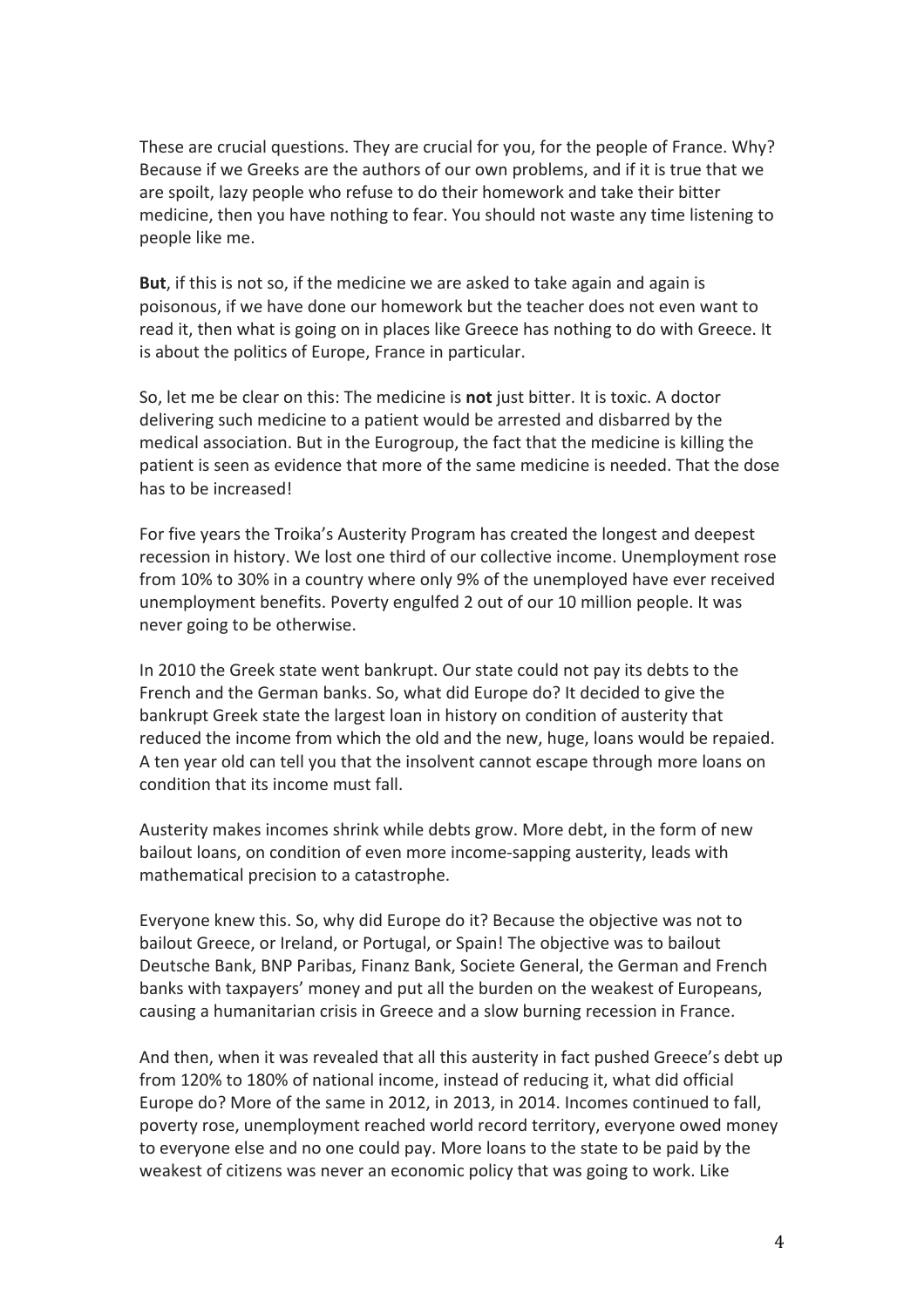These are crucial questions. They are crucial for you, for the people of France. Why? Because if we Greeks are the authors of our own problems, and if it is true that we are spoilt, lazy people who refuse to do their homework and take their bitter medicine, then you have nothing to fear. You should not waste any time listening to people like me.

**But**, if this is not so, if the medicine we are asked to take again and again is poisonous, if we have done our homework but the teacher does not even want to read it, then what is going on in places like Greece has nothing to do with Greece. It is about the politics of Europe, France in particular.

So, let me be clear on this: The medicine is **not** just bitter. It is toxic. A doctor delivering such medicine to a patient would be arrested and disbarred by the medical association. But in the Eurogroup, the fact that the medicine is killing the patient is seen as evidence that more of the same medicine is needed. That the dose has to be increased!

For five years the Troika's Austerity Program has created the longest and deepest recession in history. We lost one third of our collective income. Unemployment rose from 10% to 30% in a country where only 9% of the unemployed have ever received unemployment benefits. Poverty engulfed 2 out of our 10 million people. It was never going to be otherwise.

In 2010 the Greek state went bankrupt. Our state could not pay its debts to the French and the German banks. So, what did Europe do? It decided to give the bankrupt Greek state the largest loan in history on condition of austerity that reduced the income from which the old and the new, huge, loans would be repaied. A ten year old can tell you that the insolvent cannot escape through more loans on condition that its income must fall.

Austerity makes incomes shrink while debts grow. More debt, in the form of new bailout loans, on condition of even more income-sapping austerity, leads with mathematical precision to a catastrophe.

Everyone knew this. So, why did Europe do it? Because the objective was not to bailout Greece, or Ireland, or Portugal, or Spain! The objective was to bailout Deutsche Bank, BNP Paribas, Finanz Bank, Societe General, the German and French banks with taxpayers' money and put all the burden on the weakest of Europeans, causing a humanitarian crisis in Greece and a slow burning recession in France.

And then, when it was revealed that all this austerity in fact pushed Greece's debt up from 120% to 180% of national income, instead of reducing it, what did official Europe do? More of the same in 2012, in 2013, in 2014. Incomes continued to fall, poverty rose, unemployment reached world record territory, everyone owed money to everyone else and no one could pay. More loans to the state to be paid by the weakest of citizens was never an economic policy that was going to work. Like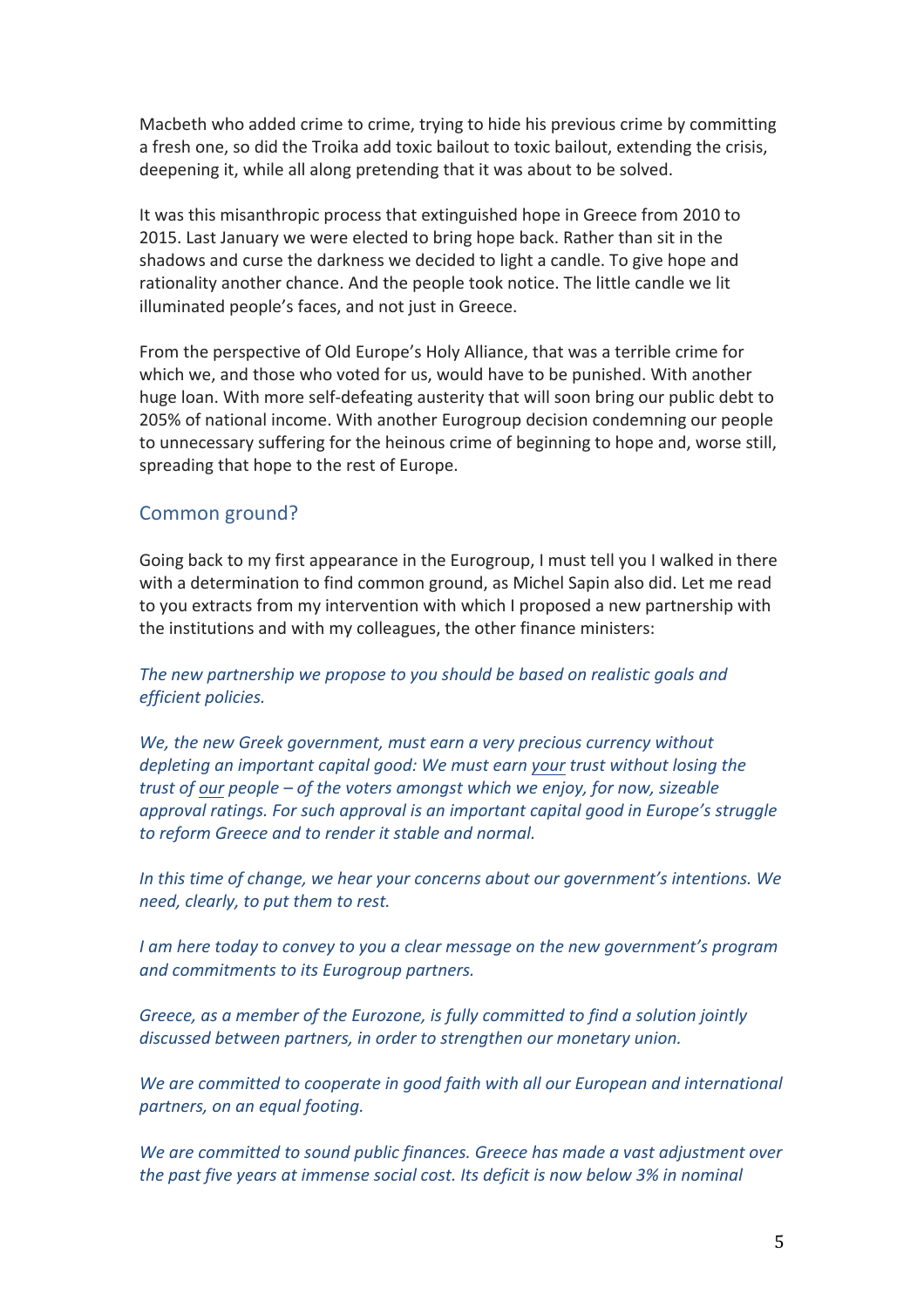Macbeth who added crime to crime, trying to hide his previous crime by committing a fresh one, so did the Troika add toxic bailout to toxic bailout, extending the crisis, deepening it, while all along pretending that it was about to be solved.

It was this misanthropic process that extinguished hope in Greece from 2010 to 2015. Last January we were elected to bring hope back. Rather than sit in the shadows and curse the darkness we decided to light a candle. To give hope and rationality another chance. And the people took notice. The little candle we lit illuminated people's faces, and not just in Greece.

From the perspective of Old Europe's Holy Alliance, that was a terrible crime for which we, and those who voted for us, would have to be punished. With another huge loan. With more self-defeating austerity that will soon bring our public debt to 205% of national income. With another Eurogroup decision condemning our people to unnecessary suffering for the heinous crime of beginning to hope and, worse still, spreading that hope to the rest of Europe.

#### Common ground?

Going back to my first appearance in the Eurogroup, I must tell you I walked in there with a determination to find common ground, as Michel Sapin also did. Let me read to you extracts from my intervention with which I proposed a new partnership with the institutions and with my colleagues, the other finance ministers:

The new partnership we propose to you should be based on realistic goals and *efficient policies.*

We, the new Greek government, must earn a very precious currency without *depleting an important capital good:* We must earn your *trust without losing the trust of our people – of the voters amongst which we enjoy, for now, sizeable approval ratings. For such approval is an important capital good in Europe's struggle* to reform Greece and to render it stable and normal.

*In this time of change, we hear your concerns about our government's intentions.* We *need, clearly, to put them to rest.* 

*I* am here today to convey to you a clear message on the new government's program *and commitments to its Eurogroup partners.* 

Greece, as a member of the Eurozone, is fully committed to find a solution jointly discussed between partners, in order to strengthen our monetary union.

We are committed to cooperate in good faith with all our European and international *partners, on an equal footing.*

We are committed to sound public finances. Greece has made a vast adjustment over *the past five years at immense social cost. Its deficit is now below 3% in nominal*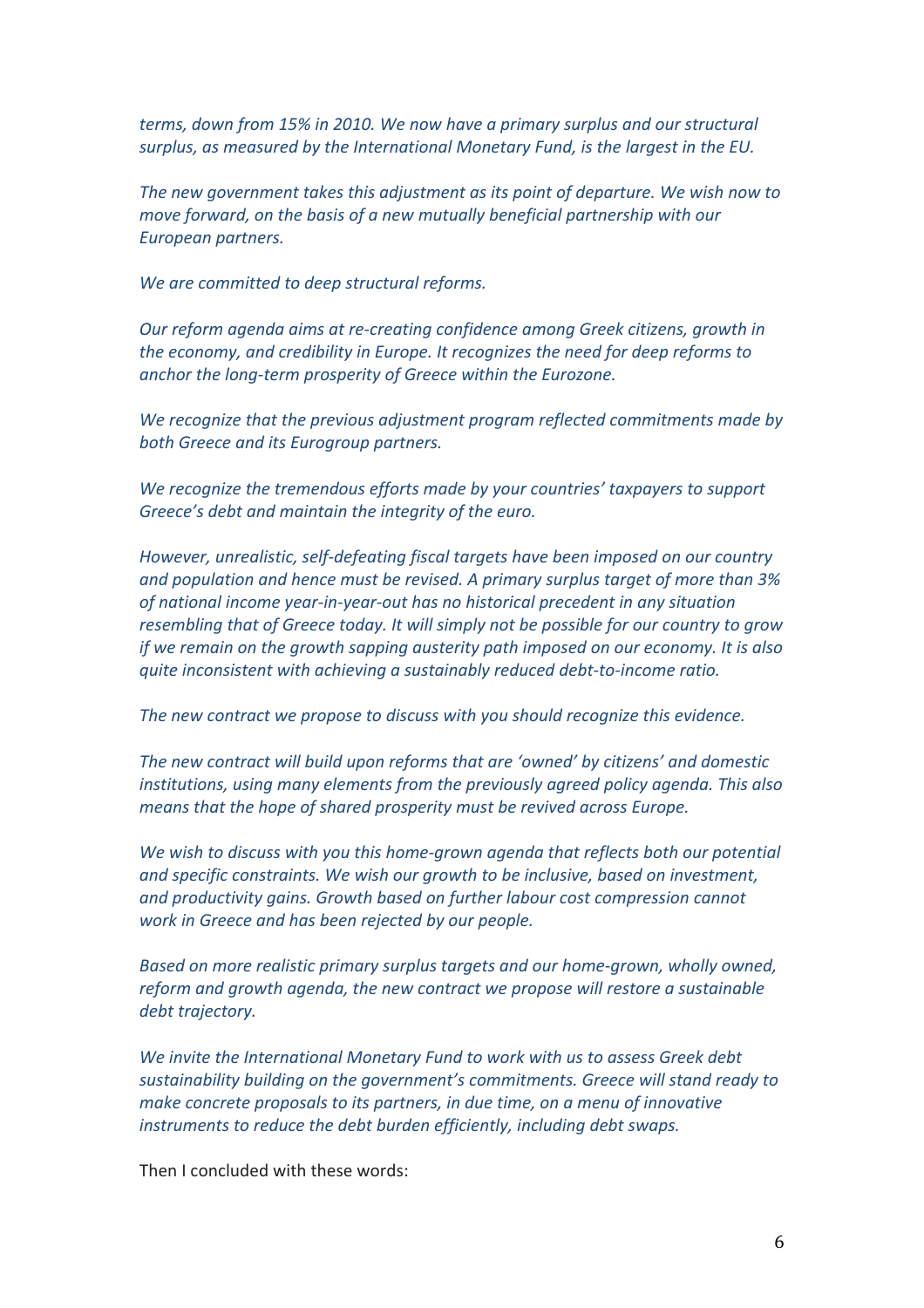*terms, down from 15% in 2010. We now have a primary surplus and our structural surplus, as measured by the International Monetary Fund, is the largest in the EU.* 

The new government takes this adjustment as its point of departure. We wish now to *move forward, on the basis of a new mutually beneficial partnership with our European partners.* 

We are committed to deep structural reforms.

*Our reform agenda aims at re-creating confidence among Greek citizens, growth in the economy, and credibility in Europe. It recognizes the need for deep reforms to anchor the long-term prosperity of Greece within the Eurozone.* 

We recognize that the previous adjustment program reflected commitments made by *both Greece and its Eurogroup partners.*

We recognize the tremendous efforts made by your countries' taxpayers to support Greece's debt and maintain the integrity of the euro.

*However, unrealistic, self-defeating fiscal targets have been imposed on our country* and population and hence must be revised. A primary surplus target of more than 3% of national income year-in-year-out has no historical precedent in any situation resembling that of Greece today. It will simply not be possible for our country to grow *if* we remain on the growth sapping austerity path imposed on our economy. It is also *guite inconsistent with achieving a sustainably reduced debt-to-income ratio.* 

The new contract we propose to discuss with you should recognize this evidence.

The new contract will build upon reforms that are 'owned' by citizens' and domestic *institutions, using many elements from the previously agreed policy agenda. This also means that the hope of shared prosperity must be revived across Europe.* 

We wish to discuss with you this home-grown agenda that reflects both our potential and specific constraints. We wish our growth to be inclusive, based on investment, and productivity gains. Growth based on further labour cost compression cannot *work in Greece and has been rejected by our people.* 

*Based on more realistic primary surplus targets and our home-grown, wholly owned, reform* and growth agenda, the new contract we propose will restore a sustainable debt trajectory.

*We invite the International Monetary Fund to work with us to assess Greek debt* sustainability building on the government's commitments. Greece will stand ready to *make concrete proposals to its partners, in due time, on a menu of innovative* instruments to reduce the debt burden efficiently, including debt swaps.

Then I concluded with these words: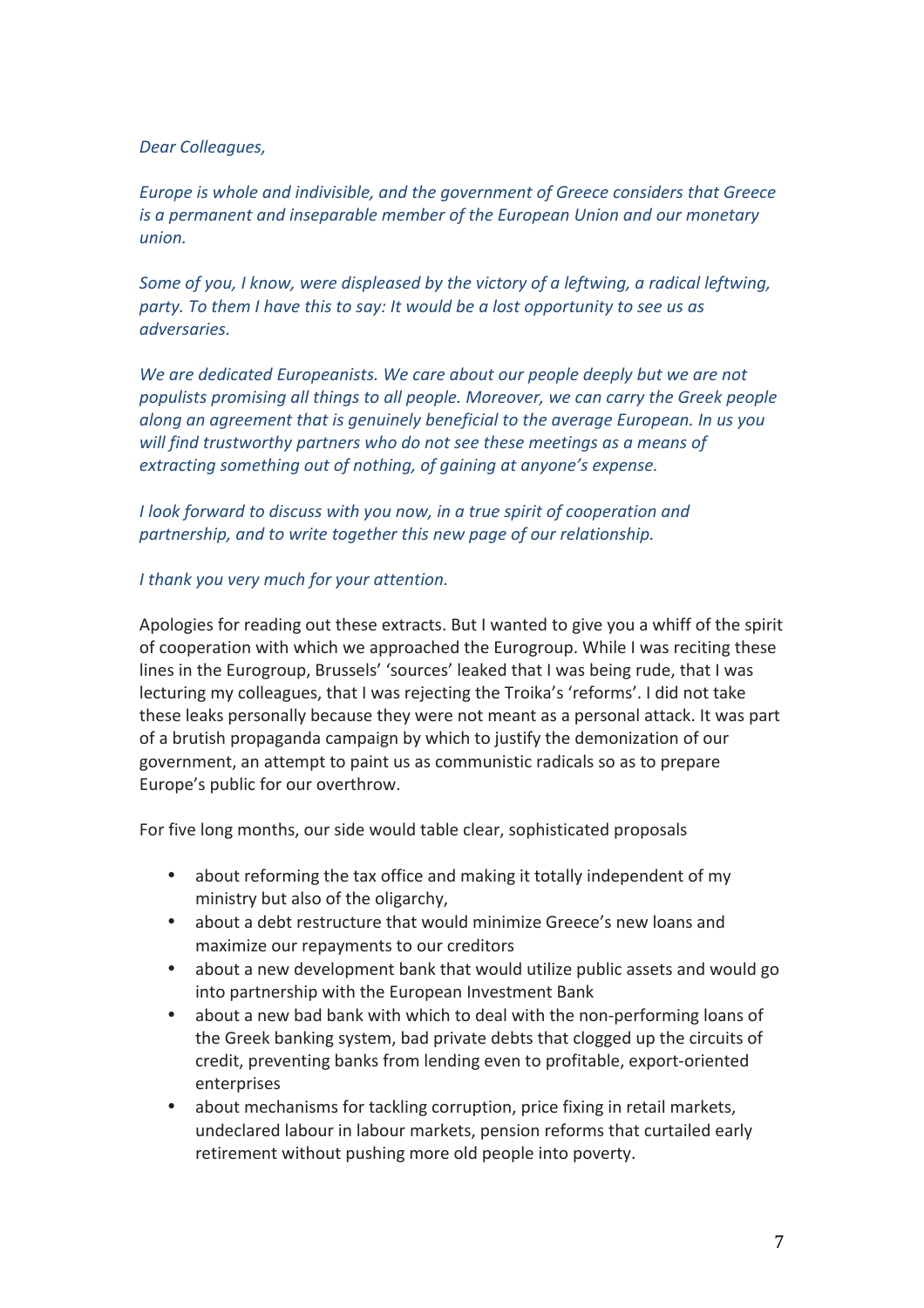#### *Dear Colleagues,*

*Europe is whole and indivisible, and the government of Greece considers that Greece is a permanent and inseparable member of the European Union and our monetary union.* 

*Some of you, I know, were displeased by the victory of a leftwing, a radical leftwing, party.* To them I have this to say: It would be a lost opportunity to see us as *adversaries.* 

We are dedicated Europeanists. We care about our people deeply but we are not populists promising all things to all people. Moreover, we can carry the Greek people *along* an agreement that is genuinely beneficial to the average European. In us you will find trustworthy partners who do not see these meetings as a means of *extracting something out of nothing, of gaining at anyone's expense.* 

*I* look forward to discuss with you now, in a true spirit of cooperation and partnership, and to write together this new page of our relationship.

#### *I* thank you very much for your attention.

Apologies for reading out these extracts. But I wanted to give you a whiff of the spirit of cooperation with which we approached the Eurogroup. While I was reciting these lines in the Eurogroup, Brussels' 'sources' leaked that I was being rude, that I was lecturing my colleagues, that I was rejecting the Troika's 'reforms'. I did not take these leaks personally because they were not meant as a personal attack. It was part of a brutish propaganda campaign by which to justify the demonization of our government, an attempt to paint us as communistic radicals so as to prepare Europe's public for our overthrow.

For five long months, our side would table clear, sophisticated proposals

- about reforming the tax office and making it totally independent of my ministry but also of the oligarchy,
- about a debt restructure that would minimize Greece's new loans and maximize our repayments to our creditors
- about a new development bank that would utilize public assets and would go into partnership with the European Investment Bank
- about a new bad bank with which to deal with the non-performing loans of the Greek banking system, bad private debts that clogged up the circuits of credit, preventing banks from lending even to profitable, export-oriented enterprises
- about mechanisms for tackling corruption, price fixing in retail markets, undeclared labour in labour markets, pension reforms that curtailed early retirement without pushing more old people into poverty.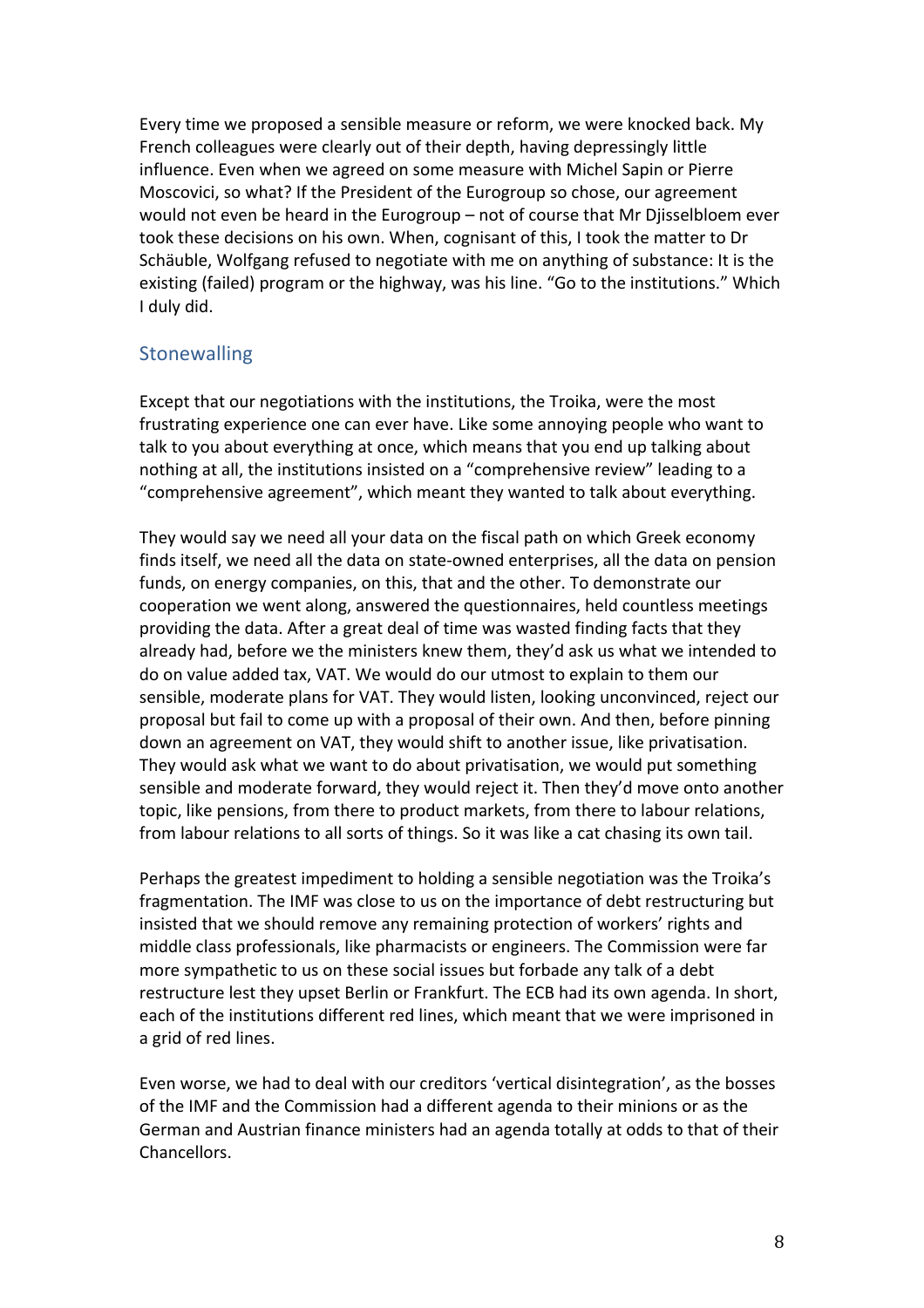Every time we proposed a sensible measure or reform, we were knocked back. My French colleagues were clearly out of their depth, having depressingly little influence. Even when we agreed on some measure with Michel Sapin or Pierre Moscovici, so what? If the President of the Eurogroup so chose, our agreement would not even be heard in the Eurogroup – not of course that Mr Diisselbloem ever took these decisions on his own. When, cognisant of this, I took the matter to Dr Schäuble, Wolfgang refused to negotiate with me on anything of substance: It is the existing (failed) program or the highway, was his line. "Go to the institutions." Which I duly did.

### **Stonewalling**

Except that our negotiations with the institutions, the Troika, were the most frustrating experience one can ever have. Like some annoying people who want to talk to you about everything at once, which means that you end up talking about nothing at all, the institutions insisted on a "comprehensive review" leading to a "comprehensive agreement", which meant they wanted to talk about everything.

They would say we need all your data on the fiscal path on which Greek economy finds itself, we need all the data on state-owned enterprises, all the data on pension funds, on energy companies, on this, that and the other. To demonstrate our cooperation we went along, answered the questionnaires, held countless meetings providing the data. After a great deal of time was wasted finding facts that they already had, before we the ministers knew them, they'd ask us what we intended to do on value added tax, VAT. We would do our utmost to explain to them our sensible, moderate plans for VAT. They would listen, looking unconvinced, reject our proposal but fail to come up with a proposal of their own. And then, before pinning down an agreement on VAT, they would shift to another issue, like privatisation. They would ask what we want to do about privatisation, we would put something sensible and moderate forward, they would reject it. Then they'd move onto another topic, like pensions, from there to product markets, from there to labour relations, from labour relations to all sorts of things. So it was like a cat chasing its own tail.

Perhaps the greatest impediment to holding a sensible negotiation was the Troika's fragmentation. The IMF was close to us on the importance of debt restructuring but insisted that we should remove any remaining protection of workers' rights and middle class professionals, like pharmacists or engineers. The Commission were far more sympathetic to us on these social issues but forbade any talk of a debt restructure lest they upset Berlin or Frankfurt. The ECB had its own agenda. In short, each of the institutions different red lines, which meant that we were imprisoned in a grid of red lines.

Even worse, we had to deal with our creditors 'vertical disintegration', as the bosses of the IMF and the Commission had a different agenda to their minions or as the German and Austrian finance ministers had an agenda totally at odds to that of their **Chancellors**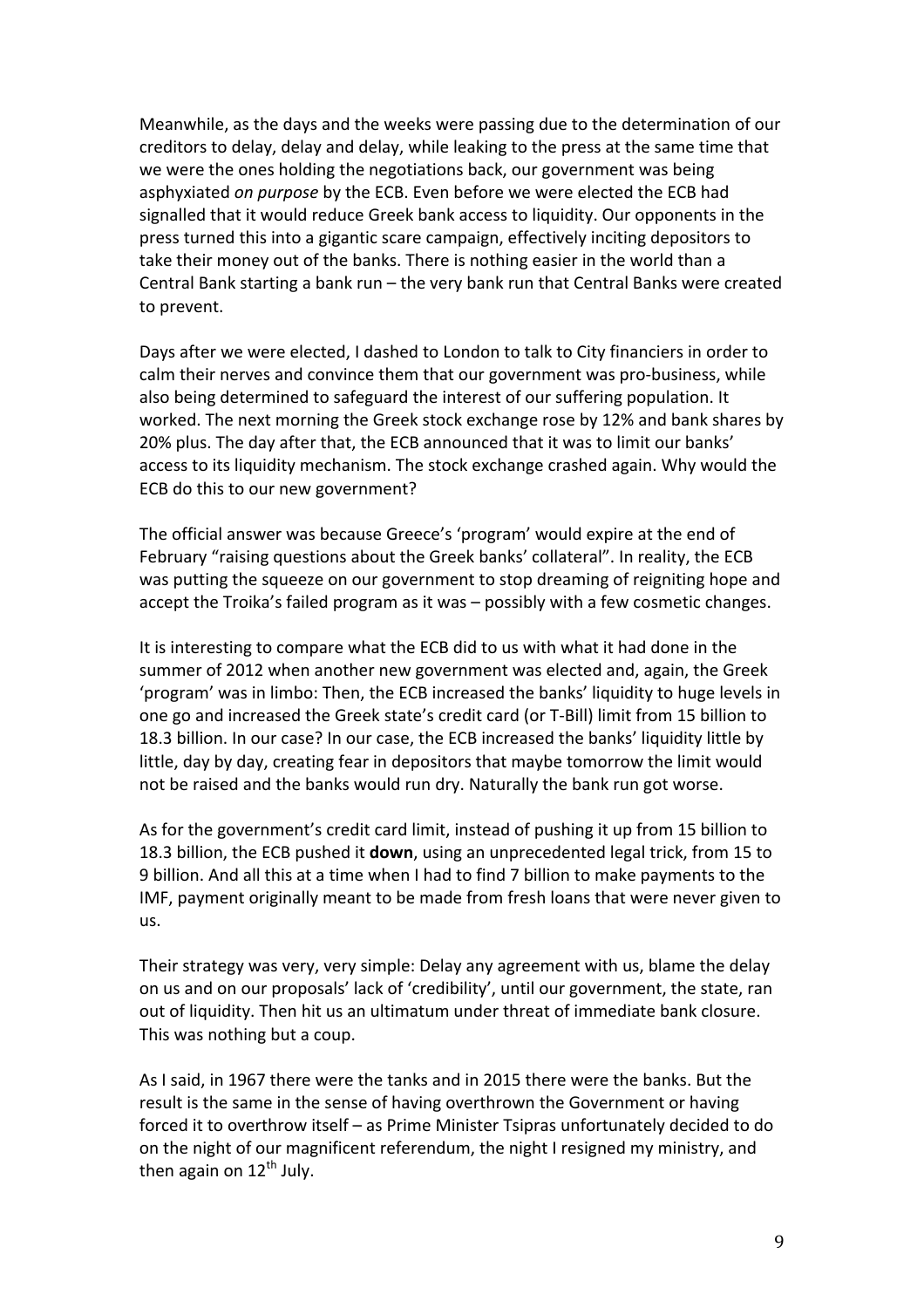Meanwhile, as the days and the weeks were passing due to the determination of our creditors to delay, delay and delay, while leaking to the press at the same time that we were the ones holding the negotiations back, our government was being asphyxiated *on purpose* by the ECB. Even before we were elected the ECB had signalled that it would reduce Greek bank access to liquidity. Our opponents in the press turned this into a gigantic scare campaign, effectively inciting depositors to take their money out of the banks. There is nothing easier in the world than a Central Bank starting a bank run  $-$  the very bank run that Central Banks were created to prevent.

Days after we were elected, I dashed to London to talk to City financiers in order to calm their nerves and convince them that our government was pro-business, while also being determined to safeguard the interest of our suffering population. It worked. The next morning the Greek stock exchange rose by 12% and bank shares by 20% plus. The day after that, the ECB announced that it was to limit our banks' access to its liquidity mechanism. The stock exchange crashed again. Why would the ECB do this to our new government?

The official answer was because Greece's 'program' would expire at the end of February "raising questions about the Greek banks' collateral". In reality, the ECB was putting the squeeze on our government to stop dreaming of reigniting hope and accept the Troika's failed program as it was - possibly with a few cosmetic changes.

It is interesting to compare what the ECB did to us with what it had done in the summer of 2012 when another new government was elected and, again, the Greek 'program' was in limbo: Then, the ECB increased the banks' liquidity to huge levels in one go and increased the Greek state's credit card (or T-Bill) limit from 15 billion to 18.3 billion. In our case? In our case, the ECB increased the banks' liquidity little by little, day by day, creating fear in depositors that maybe tomorrow the limit would not be raised and the banks would run dry. Naturally the bank run got worse.

As for the government's credit card limit, instead of pushing it up from 15 billion to 18.3 billion, the ECB pushed it **down**, using an unprecedented legal trick, from 15 to 9 billion. And all this at a time when I had to find 7 billion to make payments to the IMF, payment originally meant to be made from fresh loans that were never given to us.

Their strategy was very, very simple: Delay any agreement with us, blame the delay on us and on our proposals' lack of 'credibility', until our government, the state, ran out of liquidity. Then hit us an ultimatum under threat of immediate bank closure. This was nothing but a coup.

As I said, in 1967 there were the tanks and in 2015 there were the banks. But the result is the same in the sense of having overthrown the Government or having forced it to overthrow itself - as Prime Minister Tsipras unfortunately decided to do on the night of our magnificent referendum, the night I resigned my ministry, and then again on  $12^{th}$  July.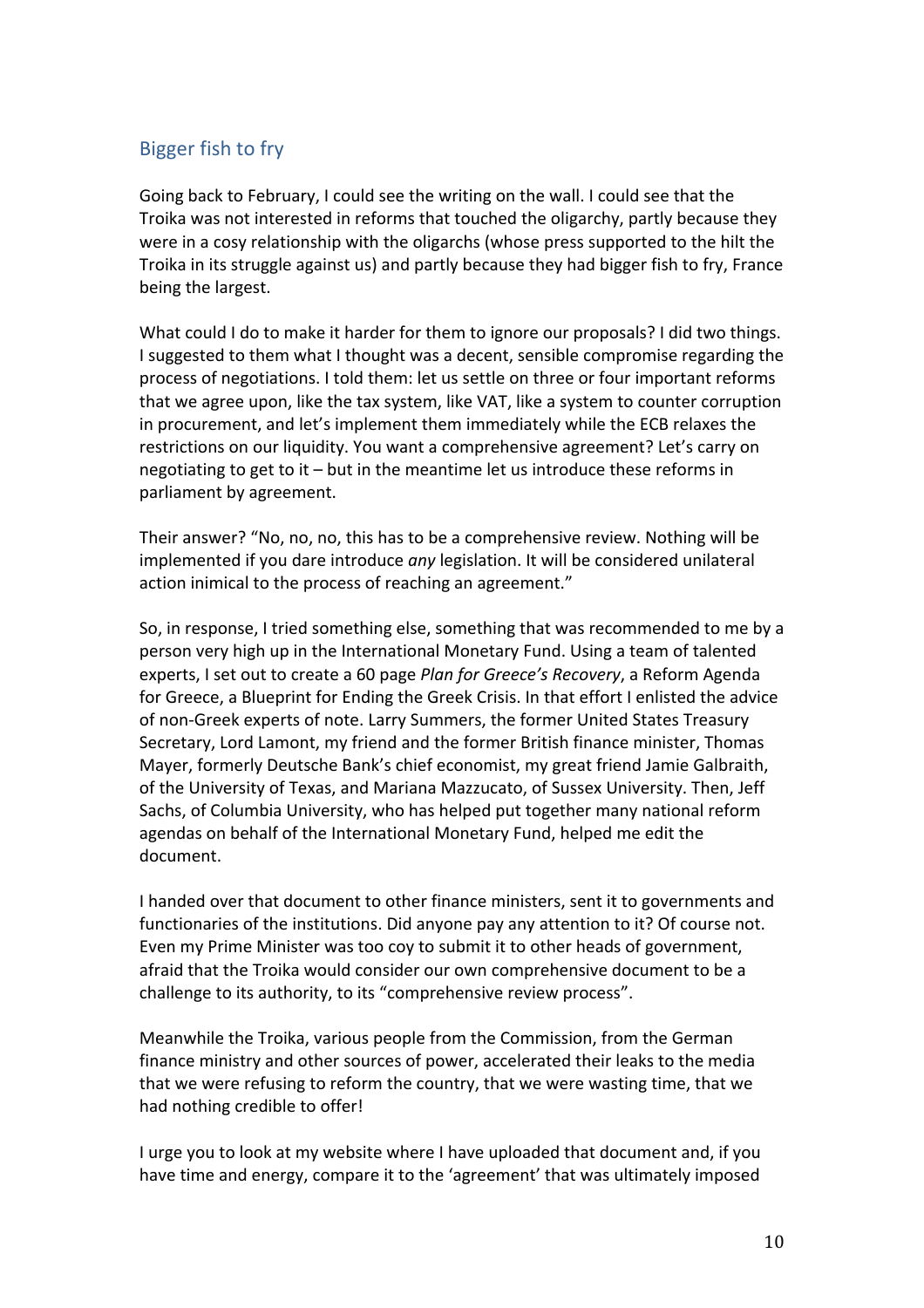# Bigger fish to fry

Going back to February, I could see the writing on the wall. I could see that the Troika was not interested in reforms that touched the oligarchy, partly because they were in a cosy relationship with the oligarchs (whose press supported to the hilt the Troika in its struggle against us) and partly because they had bigger fish to fry, France being the largest.

What could I do to make it harder for them to ignore our proposals? I did two things. I suggested to them what I thought was a decent, sensible compromise regarding the process of negotiations. I told them: let us settle on three or four important reforms that we agree upon, like the tax system, like VAT, like a system to counter corruption in procurement, and let's implement them immediately while the ECB relaxes the restrictions on our liquidity. You want a comprehensive agreement? Let's carry on negotiating to get to it  $-$  but in the meantime let us introduce these reforms in parliament by agreement.

Their answer? "No, no, no, this has to be a comprehensive review. Nothing will be implemented if you dare introduce *any* legislation. It will be considered unilateral action inimical to the process of reaching an agreement."

So, in response, I tried something else, something that was recommended to me by a person very high up in the International Monetary Fund. Using a team of talented experts, I set out to create a 60 page *Plan for Greece's Recovery*, a Reform Agenda for Greece, a Blueprint for Ending the Greek Crisis. In that effort I enlisted the advice of non-Greek experts of note. Larry Summers, the former United States Treasury Secretary, Lord Lamont, my friend and the former British finance minister, Thomas Mayer, formerly Deutsche Bank's chief economist, my great friend Jamie Galbraith, of the University of Texas, and Mariana Mazzucato, of Sussex University. Then, Jeff Sachs, of Columbia University, who has helped put together many national reform agendas on behalf of the International Monetary Fund, helped me edit the document. 

I handed over that document to other finance ministers, sent it to governments and functionaries of the institutions. Did anyone pay any attention to it? Of course not. Even my Prime Minister was too coy to submit it to other heads of government, afraid that the Troika would consider our own comprehensive document to be a challenge to its authority, to its "comprehensive review process".

Meanwhile the Troika, various people from the Commission, from the German finance ministry and other sources of power, accelerated their leaks to the media that we were refusing to reform the country, that we were wasting time, that we had nothing credible to offer!

I urge you to look at my website where I have uploaded that document and, if you have time and energy, compare it to the 'agreement' that was ultimately imposed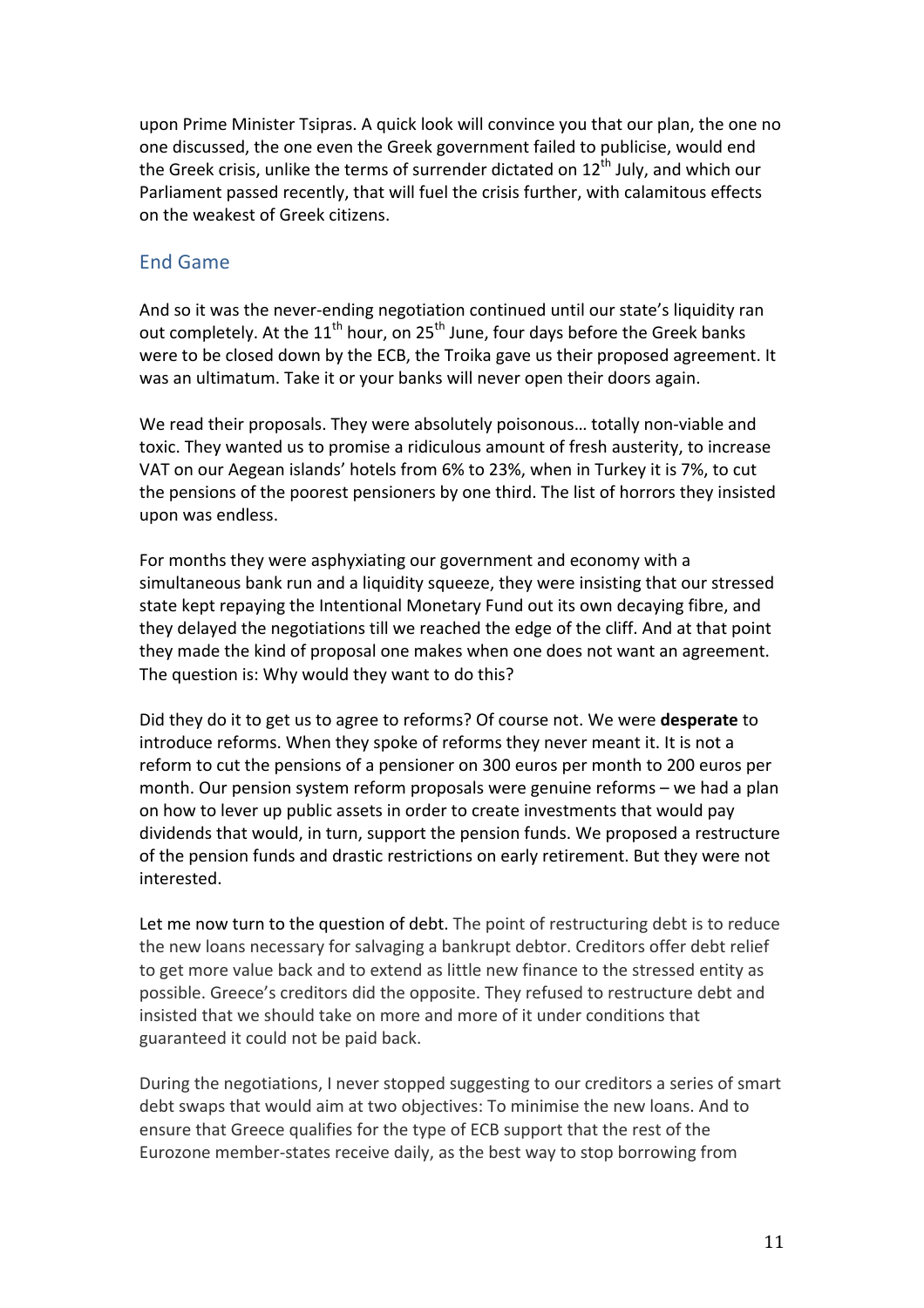upon Prime Minister Tsipras. A quick look will convince you that our plan, the one no one discussed, the one even the Greek government failed to publicise, would end the Greek crisis, unlike the terms of surrender dictated on  $12<sup>th</sup>$  July, and which our Parliament passed recently, that will fuel the crisis further, with calamitous effects on the weakest of Greek citizens.

### End Game

And so it was the never-ending negotiation continued until our state's liquidity ran out completely. At the 11<sup>th</sup> hour, on 25<sup>th</sup> June, four days before the Greek banks were to be closed down by the ECB, the Troika gave us their proposed agreement. It was an ultimatum. Take it or your banks will never open their doors again.

We read their proposals. They were absolutely poisonous... totally non-viable and toxic. They wanted us to promise a ridiculous amount of fresh austerity, to increase VAT on our Aegean islands' hotels from 6% to 23%, when in Turkey it is 7%, to cut the pensions of the poorest pensioners by one third. The list of horrors they insisted upon was endless. 

For months they were asphyxiating our government and economy with a simultaneous bank run and a liquidity squeeze, they were insisting that our stressed state kept repaying the Intentional Monetary Fund out its own decaying fibre, and they delayed the negotiations till we reached the edge of the cliff. And at that point they made the kind of proposal one makes when one does not want an agreement. The question is: Why would they want to do this?

Did they do it to get us to agree to reforms? Of course not. We were **desperate** to introduce reforms. When they spoke of reforms they never meant it. It is not a reform to cut the pensions of a pensioner on 300 euros per month to 200 euros per month. Our pension system reform proposals were genuine reforms – we had a plan on how to lever up public assets in order to create investments that would pay dividends that would, in turn, support the pension funds. We proposed a restructure of the pension funds and drastic restrictions on early retirement. But they were not interested.

Let me now turn to the question of debt. The point of restructuring debt is to reduce the new loans necessary for salvaging a bankrupt debtor. Creditors offer debt relief to get more value back and to extend as little new finance to the stressed entity as possible. Greece's creditors did the opposite. They refused to restructure debt and insisted that we should take on more and more of it under conditions that guaranteed it could not be paid back.

During the negotiations, I never stopped suggesting to our creditors a series of smart debt swaps that would aim at two objectives: To minimise the new loans. And to ensure that Greece qualifies for the type of ECB support that the rest of the Eurozone member-states receive daily, as the best way to stop borrowing from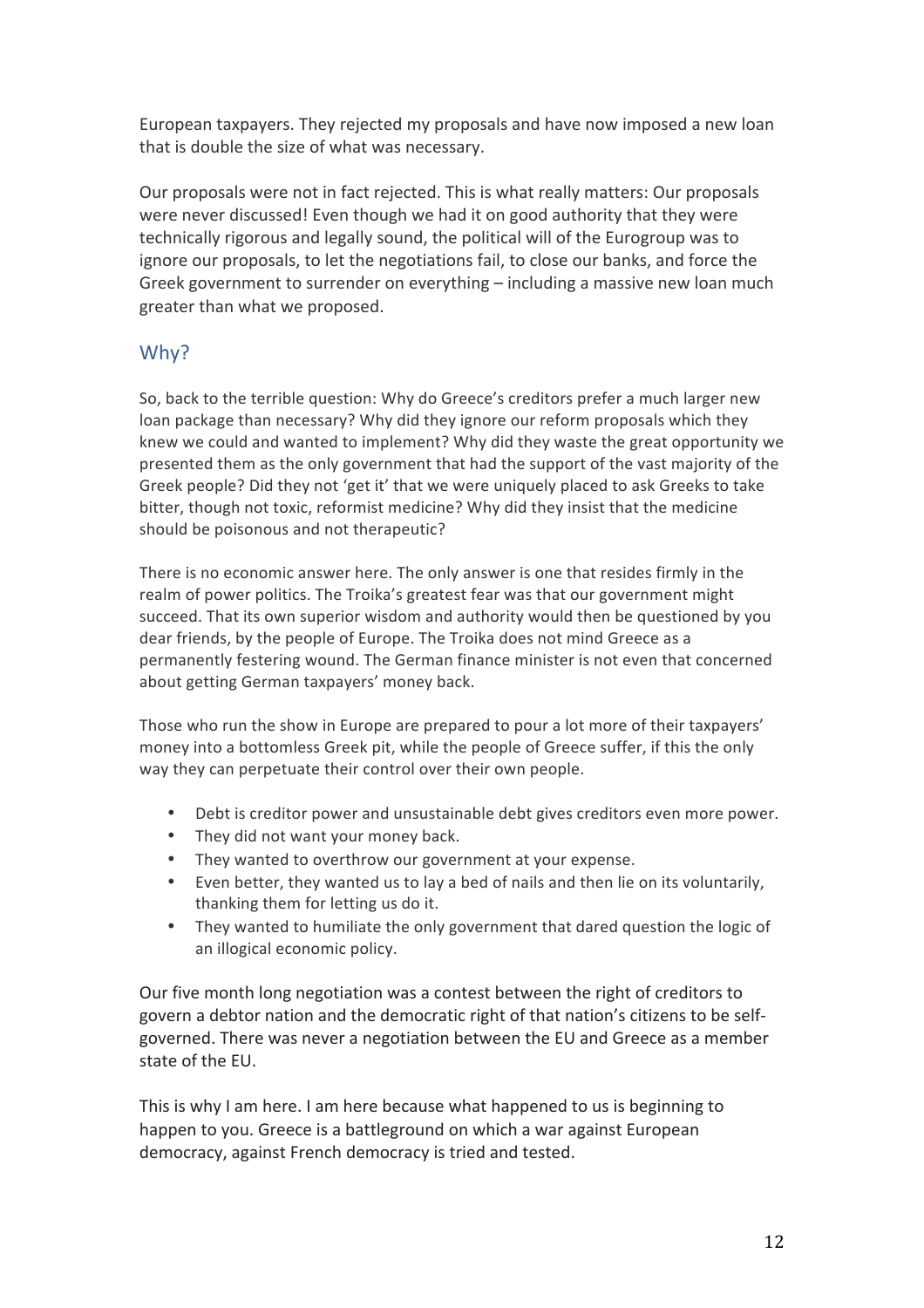European taxpayers. They rejected my proposals and have now imposed a new loan that is double the size of what was necessary.

Our proposals were not in fact rejected. This is what really matters: Our proposals were never discussed! Even though we had it on good authority that they were technically rigorous and legally sound, the political will of the Eurogroup was to ignore our proposals, to let the negotiations fail, to close our banks, and force the Greek government to surrender on everything  $-$  including a massive new loan much greater than what we proposed.

# Why?

So, back to the terrible question: Why do Greece's creditors prefer a much larger new loan package than necessary? Why did they ignore our reform proposals which they knew we could and wanted to implement? Why did they waste the great opportunity we presented them as the only government that had the support of the vast majority of the Greek people? Did they not 'get it' that we were uniquely placed to ask Greeks to take bitter, though not toxic, reformist medicine? Why did they insist that the medicine should be poisonous and not therapeutic?

There is no economic answer here. The only answer is one that resides firmly in the realm of power politics. The Troika's greatest fear was that our government might succeed. That its own superior wisdom and authority would then be questioned by you dear friends, by the people of Europe. The Troika does not mind Greece as a permanently festering wound. The German finance minister is not even that concerned about getting German taxpayers' money back.

Those who run the show in Europe are prepared to pour a lot more of their taxpayers' money into a bottomless Greek pit, while the people of Greece suffer, if this the only way they can perpetuate their control over their own people.

- Debt is creditor power and unsustainable debt gives creditors even more power.
- They did not want your money back.
- They wanted to overthrow our government at your expense.
- Even better, they wanted us to lay a bed of nails and then lie on its voluntarily, thanking them for letting us do it.
- They wanted to humiliate the only government that dared question the logic of an illogical economic policy.

Our five month long negotiation was a contest between the right of creditors to govern a debtor nation and the democratic right of that nation's citizens to be selfgoverned. There was never a negotiation between the EU and Greece as a member state of the EU.

This is why I am here. I am here because what happened to us is beginning to happen to you. Greece is a battleground on which a war against European democracy, against French democracy is tried and tested.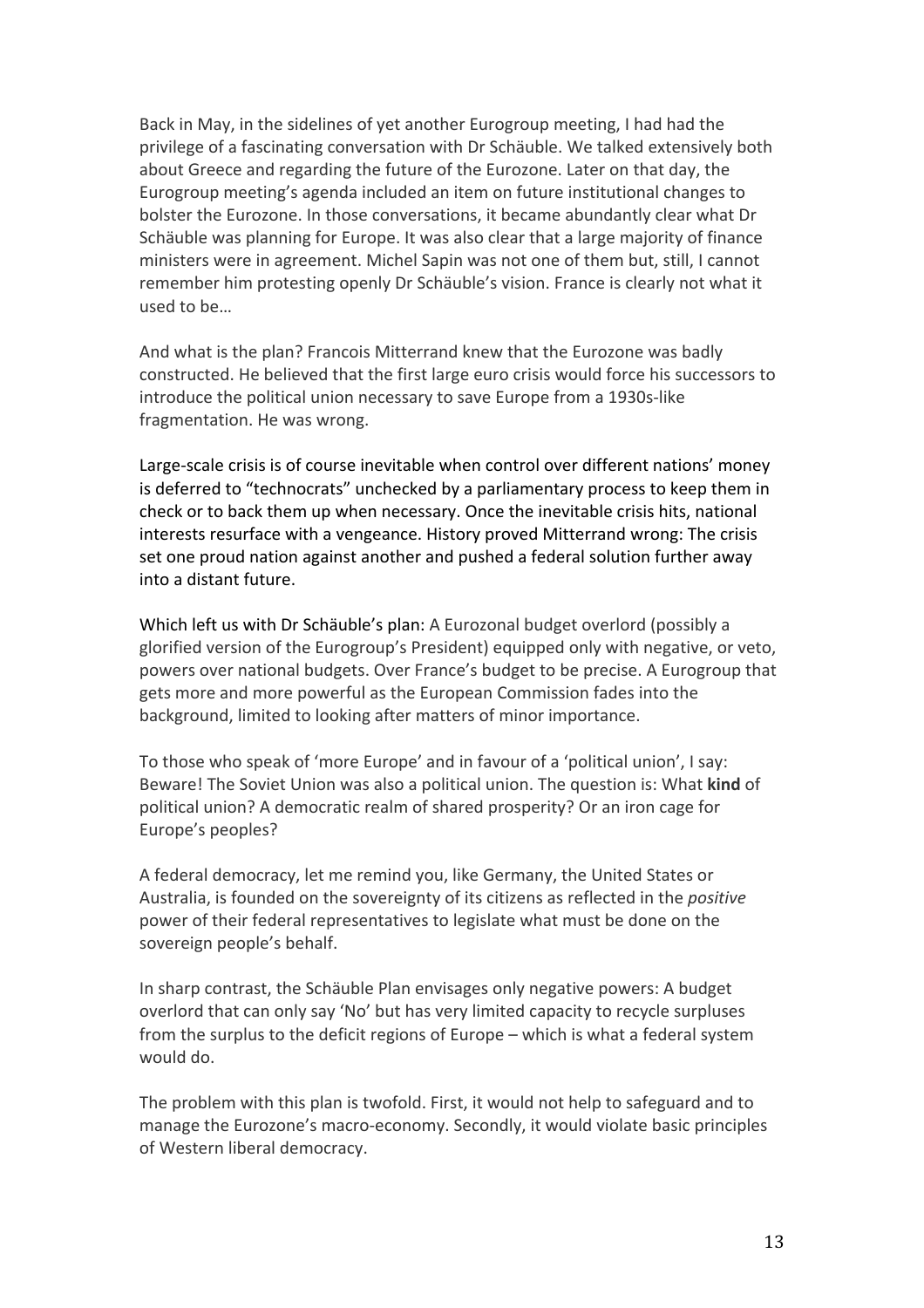Back in May, in the sidelines of yet another Eurogroup meeting, I had had the privilege of a fascinating conversation with Dr Schäuble. We talked extensively both about Greece and regarding the future of the Eurozone. Later on that day, the Eurogroup meeting's agenda included an item on future institutional changes to bolster the Eurozone. In those conversations, it became abundantly clear what Dr Schäuble was planning for Europe. It was also clear that a large majority of finance ministers were in agreement. Michel Sapin was not one of them but, still, I cannot remember him protesting openly Dr Schäuble's vision. France is clearly not what it used to be…

And what is the plan? Francois Mitterrand knew that the Eurozone was badly constructed. He believed that the first large euro crisis would force his successors to introduce the political union necessary to save Europe from a 1930s-like fragmentation. He was wrong.

Large-scale crisis is of course inevitable when control over different nations' money is deferred to "technocrats" unchecked by a parliamentary process to keep them in check or to back them up when necessary. Once the inevitable crisis hits, national interests resurface with a vengeance. History proved Mitterrand wrong: The crisis set one proud nation against another and pushed a federal solution further away into a distant future.

Which left us with Dr Schäuble's plan: A Eurozonal budget overlord (possibly a glorified version of the Eurogroup's President) equipped only with negative, or veto, powers over national budgets. Over France's budget to be precise. A Eurogroup that gets more and more powerful as the European Commission fades into the background, limited to looking after matters of minor importance.

To those who speak of 'more Europe' and in favour of a 'political union', I say: Beware! The Soviet Union was also a political union. The question is: What kind of political union? A democratic realm of shared prosperity? Or an iron cage for Europe's peoples?

A federal democracy, let me remind you, like Germany, the United States or Australia, is founded on the sovereignty of its citizens as reflected in the *positive* power of their federal representatives to legislate what must be done on the sovereign people's behalf.

In sharp contrast, the Schäuble Plan envisages only negative powers: A budget overlord that can only say 'No' but has very limited capacity to recycle surpluses from the surplus to the deficit regions of Europe  $-$  which is what a federal system would do.

The problem with this plan is twofold. First, it would not help to safeguard and to manage the Eurozone's macro-economy. Secondly, it would violate basic principles of Western liberal democracy.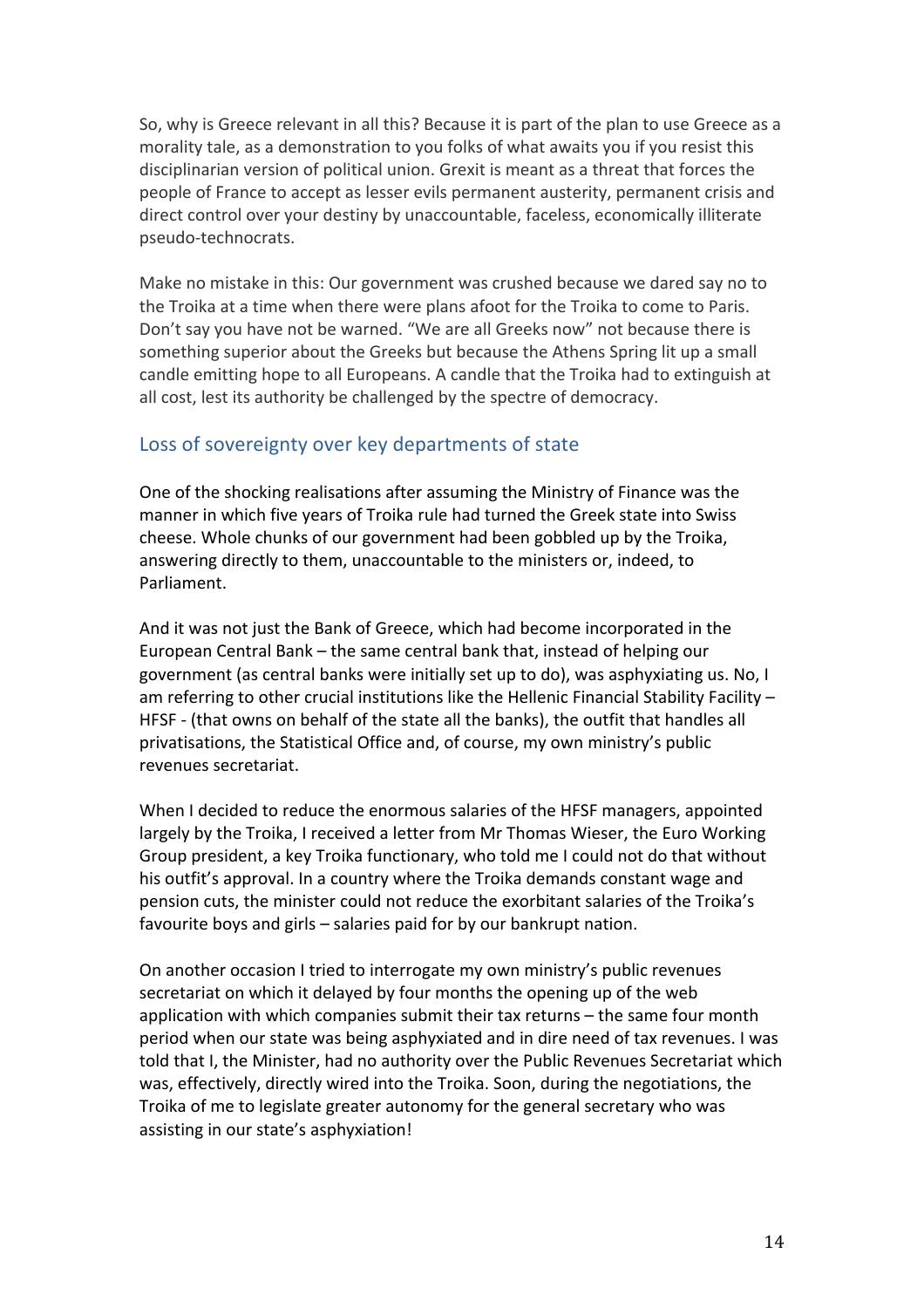So, why is Greece relevant in all this? Because it is part of the plan to use Greece as a morality tale, as a demonstration to you folks of what awaits you if you resist this disciplinarian version of political union. Grexit is meant as a threat that forces the people of France to accept as lesser evils permanent austerity, permanent crisis and direct control over your destiny by unaccountable, faceless, economically illiterate pseudo-technocrats.

Make no mistake in this: Our government was crushed because we dared say no to the Troika at a time when there were plans afoot for the Troika to come to Paris. Don't say you have not be warned. "We are all Greeks now" not because there is something superior about the Greeks but because the Athens Spring lit up a small candle emitting hope to all Europeans. A candle that the Troika had to extinguish at all cost, lest its authority be challenged by the spectre of democracy.

### Loss of sovereignty over key departments of state

One of the shocking realisations after assuming the Ministry of Finance was the manner in which five years of Troika rule had turned the Greek state into Swiss cheese. Whole chunks of our government had been gobbled up by the Troika, answering directly to them, unaccountable to the ministers or, indeed, to Parliament.

And it was not just the Bank of Greece, which had become incorporated in the European Central Bank – the same central bank that, instead of helping our government (as central banks were initially set up to do), was asphyxiating us. No, I am referring to other crucial institutions like the Hellenic Financial Stability Facility  $-$ HFSF - (that owns on behalf of the state all the banks), the outfit that handles all privatisations, the Statistical Office and, of course, my own ministry's public revenues secretariat. 

When I decided to reduce the enormous salaries of the HFSF managers, appointed largely by the Troika, I received a letter from Mr Thomas Wieser, the Euro Working Group president, a key Troika functionary, who told me I could not do that without his outfit's approval. In a country where the Troika demands constant wage and pension cuts, the minister could not reduce the exorbitant salaries of the Troika's favourite boys and girls - salaries paid for by our bankrupt nation.

On another occasion I tried to interrogate my own ministry's public revenues secretariat on which it delayed by four months the opening up of the web application with which companies submit their tax returns – the same four month period when our state was being asphyxiated and in dire need of tax revenues. I was told that I, the Minister, had no authority over the Public Revenues Secretariat which was, effectively, directly wired into the Troika. Soon, during the negotiations, the Troika of me to legislate greater autonomy for the general secretary who was assisting in our state's asphyxiation!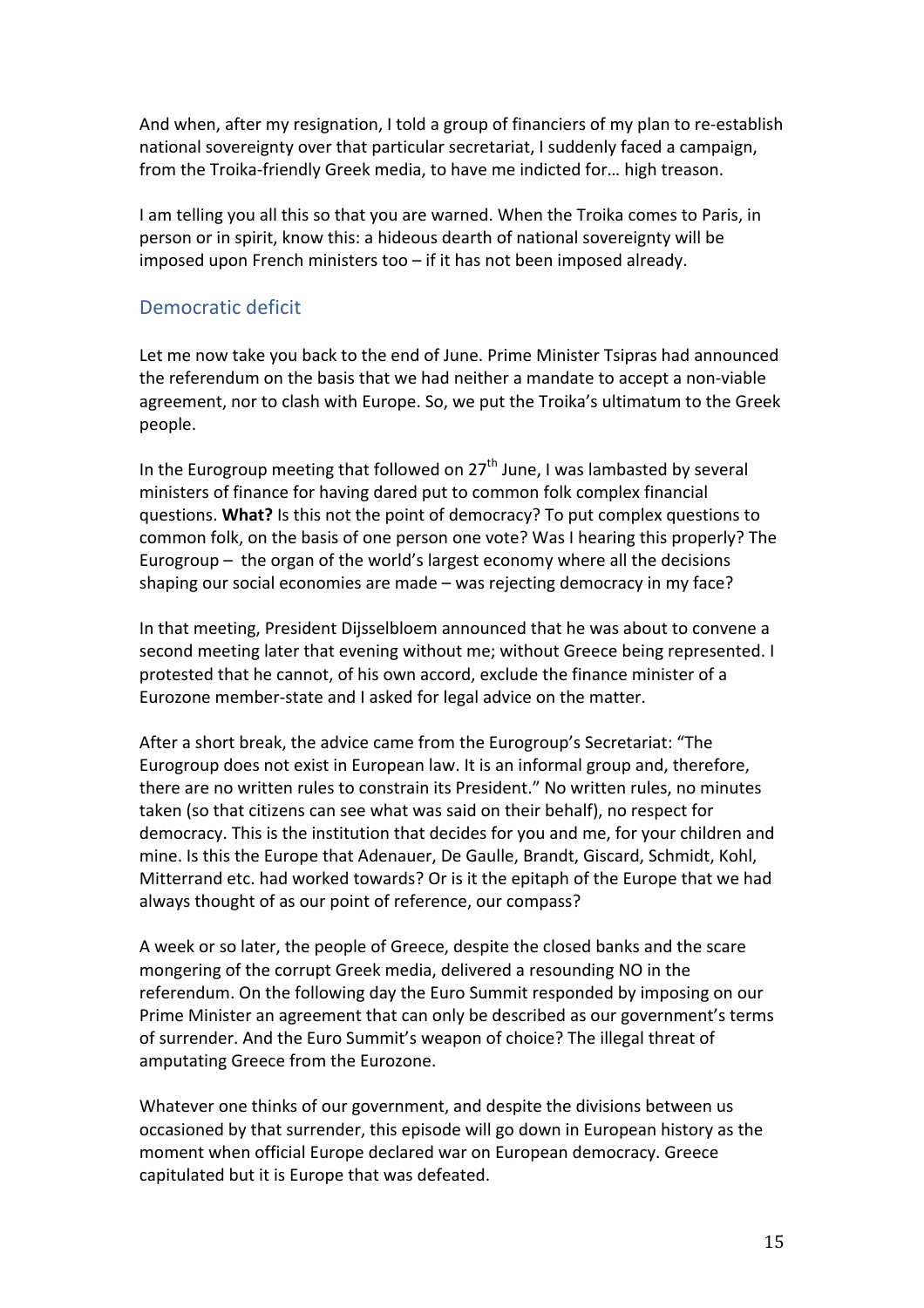And when, after my resignation, I told a group of financiers of my plan to re-establish national sovereignty over that particular secretariat, I suddenly faced a campaign, from the Troika-friendly Greek media, to have me indicted for... high treason.

I am telling you all this so that you are warned. When the Troika comes to Paris, in person or in spirit, know this: a hideous dearth of national sovereignty will be imposed upon French ministers too  $-$  if it has not been imposed already.

### Democratic deficit

Let me now take you back to the end of June. Prime Minister Tsipras had announced the referendum on the basis that we had neither a mandate to accept a non-viable agreement, nor to clash with Europe. So, we put the Troika's ultimatum to the Greek people. 

In the Eurogroup meeting that followed on  $27<sup>th</sup>$  June, I was lambasted by several ministers of finance for having dared put to common folk complex financial questions. **What?** Is this not the point of democracy? To put complex questions to common folk, on the basis of one person one vote? Was I hearing this properly? The Eurogroup  $-$  the organ of the world's largest economy where all the decisions shaping our social economies are made – was rejecting democracy in my face?

In that meeting, President Dijsselbloem announced that he was about to convene a second meeting later that evening without me; without Greece being represented. I protested that he cannot, of his own accord, exclude the finance minister of a Eurozone member-state and I asked for legal advice on the matter.

After a short break, the advice came from the Eurogroup's Secretariat: "The Eurogroup does not exist in European law. It is an informal group and, therefore, there are no written rules to constrain its President." No written rules, no minutes taken (so that citizens can see what was said on their behalf), no respect for democracy. This is the institution that decides for you and me, for your children and mine. Is this the Europe that Adenauer, De Gaulle, Brandt, Giscard, Schmidt, Kohl, Mitterrand etc. had worked towards? Or is it the epitaph of the Europe that we had always thought of as our point of reference, our compass?

A week or so later, the people of Greece, despite the closed banks and the scare mongering of the corrupt Greek media, delivered a resounding NO in the referendum. On the following day the Euro Summit responded by imposing on our Prime Minister an agreement that can only be described as our government's terms of surrender. And the Euro Summit's weapon of choice? The illegal threat of amputating Greece from the Eurozone.

Whatever one thinks of our government, and despite the divisions between us occasioned by that surrender, this episode will go down in European history as the moment when official Europe declared war on European democracy. Greece capitulated but it is Europe that was defeated.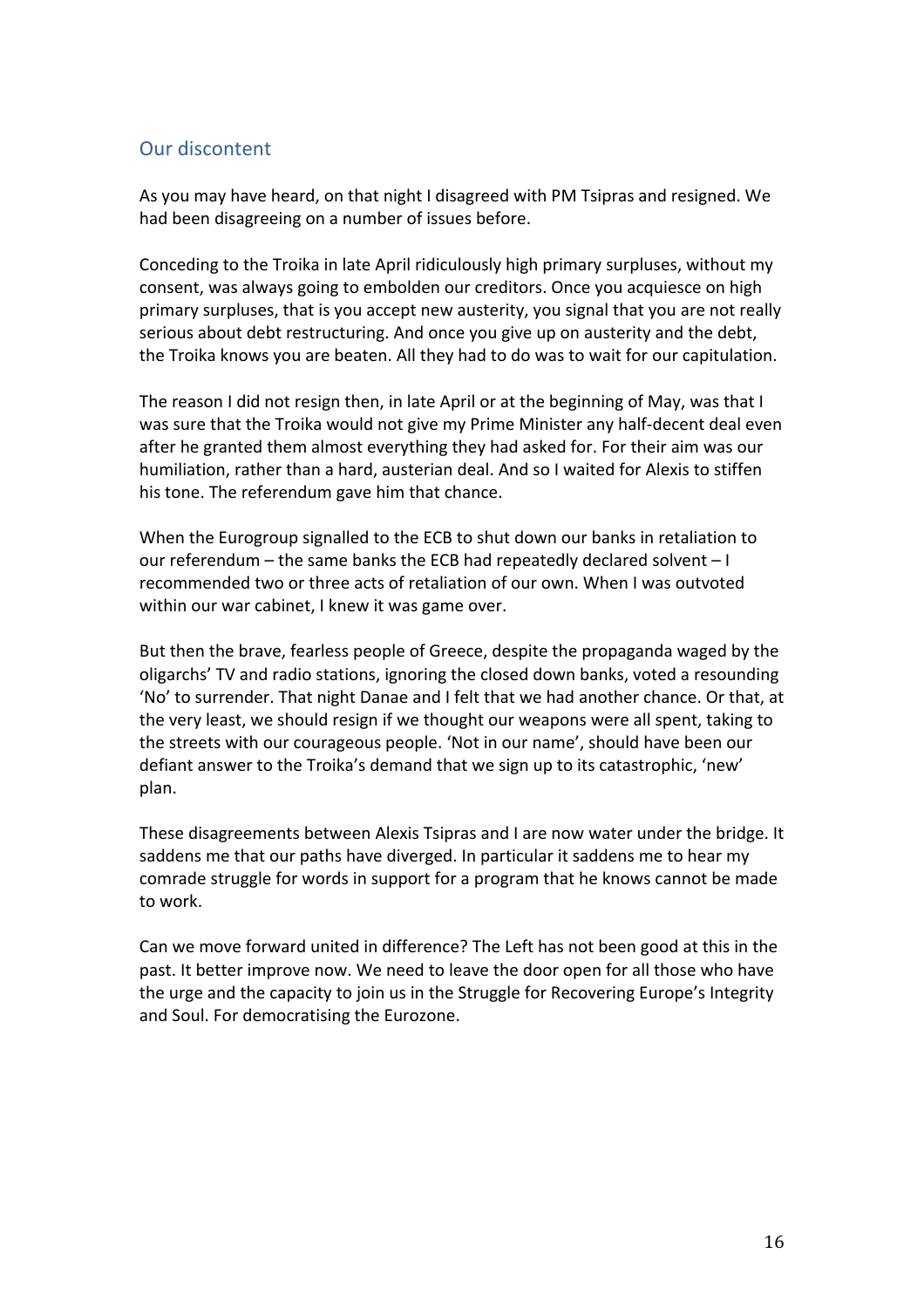## Our discontent

As you may have heard, on that night I disagreed with PM Tsipras and resigned. We had been disagreeing on a number of issues before.

Conceding to the Troika in late April ridiculously high primary surpluses, without my consent, was always going to embolden our creditors. Once you acquiesce on high primary surpluses, that is you accept new austerity, you signal that you are not really serious about debt restructuring. And once you give up on austerity and the debt, the Troika knows you are beaten. All they had to do was to wait for our capitulation.

The reason I did not resign then, in late April or at the beginning of May, was that I was sure that the Troika would not give my Prime Minister any half-decent deal even after he granted them almost everything they had asked for. For their aim was our humiliation, rather than a hard, austerian deal. And so I waited for Alexis to stiffen his tone. The referendum gave him that chance.

When the Eurogroup signalled to the ECB to shut down our banks in retaliation to our referendum – the same banks the ECB had repeatedly declared solvent  $-1$ recommended two or three acts of retaliation of our own. When I was outvoted within our war cabinet, I knew it was game over.

But then the brave, fearless people of Greece, despite the propaganda waged by the oligarchs' TV and radio stations, ignoring the closed down banks, voted a resounding 'No' to surrender. That night Danae and I felt that we had another chance. Or that, at the very least, we should resign if we thought our weapons were all spent, taking to the streets with our courageous people. 'Not in our name', should have been our defiant answer to the Troika's demand that we sign up to its catastrophic, 'new' plan.

These disagreements between Alexis Tsipras and I are now water under the bridge. It saddens me that our paths have diverged. In particular it saddens me to hear my comrade struggle for words in support for a program that he knows cannot be made to work.

Can we move forward united in difference? The Left has not been good at this in the past. It better improve now. We need to leave the door open for all those who have the urge and the capacity to join us in the Struggle for Recovering Europe's Integrity and Soul. For democratising the Eurozone.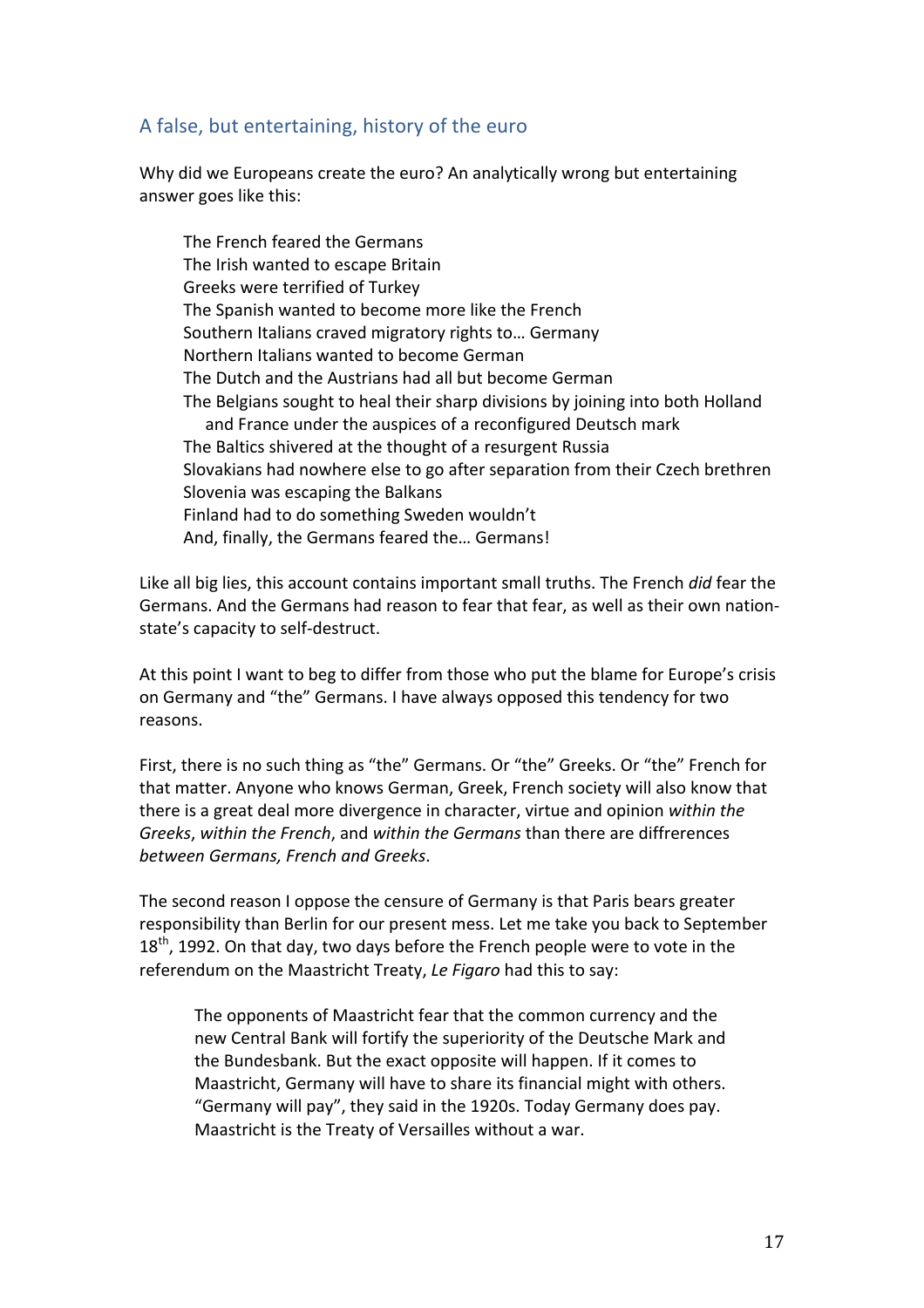# A false, but entertaining, history of the euro

Why did we Europeans create the euro? An analytically wrong but entertaining answer goes like this:

The French feared the Germans The Irish wanted to escape Britain Greeks were terrified of Turkey The Spanish wanted to become more like the French Southern Italians craved migratory rights to... Germany Northern Italians wanted to become German The Dutch and the Austrians had all but become German The Belgians sought to heal their sharp divisions by joining into both Holland and France under the auspices of a reconfigured Deutsch mark The Baltics shivered at the thought of a resurgent Russia Slovakians had nowhere else to go after separation from their Czech brethren Slovenia was escaping the Balkans Finland had to do something Sweden wouldn't And, finally, the Germans feared the... Germans!

Like all big lies, this account contains important small truths. The French *did* fear the Germans. And the Germans had reason to fear that fear, as well as their own nationstate's capacity to self-destruct.

At this point I want to beg to differ from those who put the blame for Europe's crisis on Germany and "the" Germans. I have always opposed this tendency for two reasons. 

First, there is no such thing as "the" Germans. Or "the" Greeks. Or "the" French for that matter. Anyone who knows German, Greek, French society will also know that there is a great deal more divergence in character, virtue and opinion *within the Greeks*, within the French, and within the Germans than there are diffrerences *between Germans, French and Greeks*. 

The second reason I oppose the censure of Germany is that Paris bears greater responsibility than Berlin for our present mess. Let me take you back to September  $18<sup>th</sup>$ , 1992. On that day, two days before the French people were to vote in the referendum on the Maastricht Treaty, Le Figaro had this to say:

The opponents of Maastricht fear that the common currency and the new Central Bank will fortify the superiority of the Deutsche Mark and the Bundesbank. But the exact opposite will happen. If it comes to Maastricht, Germany will have to share its financial might with others. "Germany will pay", they said in the 1920s. Today Germany does pay. Maastricht is the Treaty of Versailles without a war.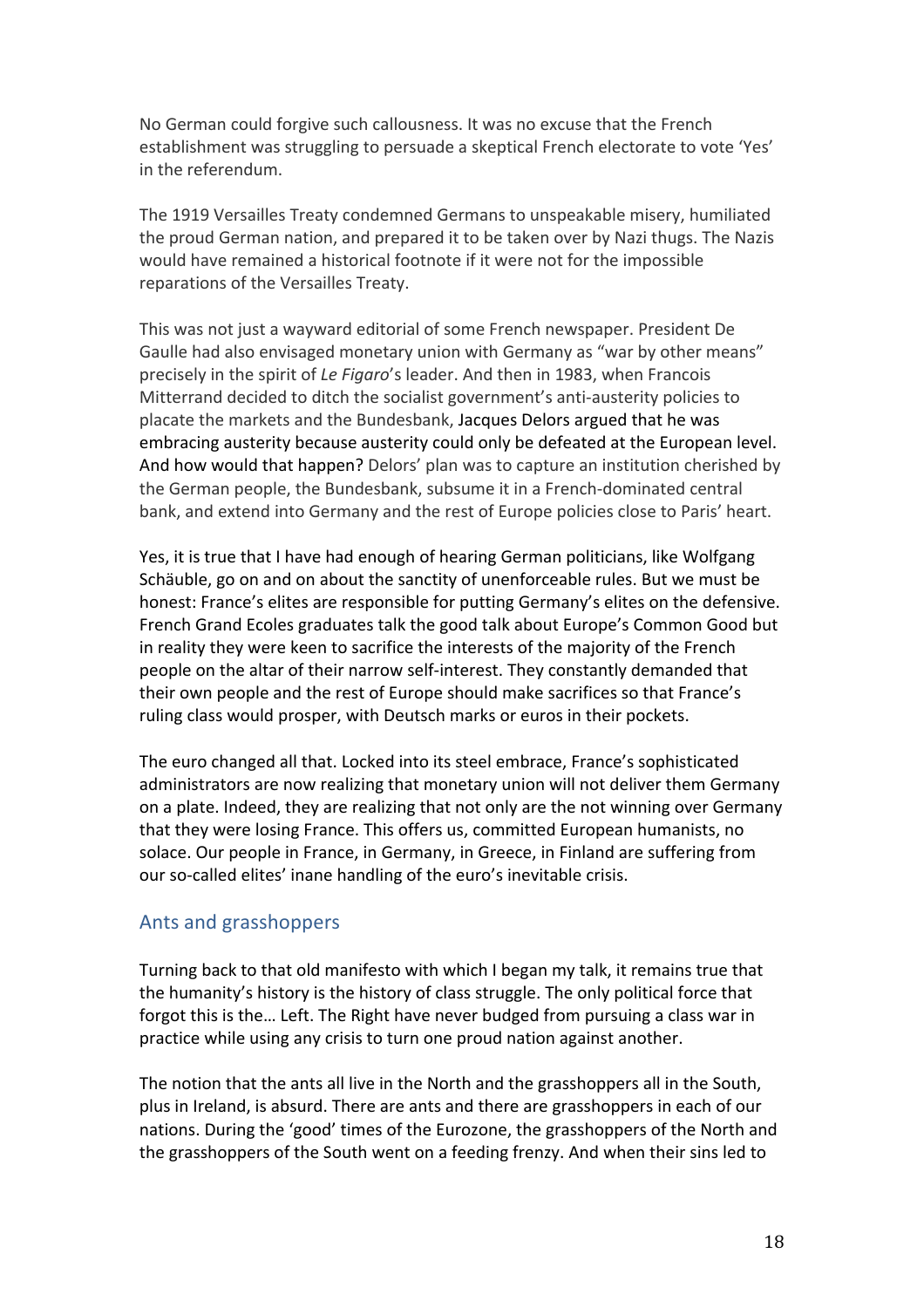No German could forgive such callousness. It was no excuse that the French establishment was struggling to persuade a skeptical French electorate to vote 'Yes' in the referendum.

The 1919 Versailles Treaty condemned Germans to unspeakable misery, humiliated the proud German nation, and prepared it to be taken over by Nazi thugs. The Nazis would have remained a historical footnote if it were not for the impossible reparations of the Versailles Treaty.

This was not just a wayward editorial of some French newspaper. President De Gaulle had also envisaged monetary union with Germany as "war by other means" precisely in the spirit of *Le Figaro's* leader. And then in 1983, when Francois Mitterrand decided to ditch the socialist government's anti-austerity policies to placate the markets and the Bundesbank, Jacques Delors argued that he was embracing austerity because austerity could only be defeated at the European level. And how would that happen? Delors' plan was to capture an institution cherished by the German people, the Bundesbank, subsume it in a French-dominated central bank, and extend into Germany and the rest of Europe policies close to Paris' heart.

Yes, it is true that I have had enough of hearing German politicians, like Wolfgang Schäuble, go on and on about the sanctity of unenforceable rules. But we must be honest: France's elites are responsible for putting Germany's elites on the defensive. French Grand Ecoles graduates talk the good talk about Europe's Common Good but in reality they were keen to sacrifice the interests of the majority of the French people on the altar of their narrow self-interest. They constantly demanded that their own people and the rest of Europe should make sacrifices so that France's ruling class would prosper, with Deutsch marks or euros in their pockets.

The euro changed all that. Locked into its steel embrace, France's sophisticated administrators are now realizing that monetary union will not deliver them Germany on a plate. Indeed, they are realizing that not only are the not winning over Germany that they were losing France. This offers us, committed European humanists, no solace. Our people in France, in Germany, in Greece, in Finland are suffering from our so-called elites' inane handling of the euro's inevitable crisis.

#### Ants and grasshoppers

Turning back to that old manifesto with which I began my talk, it remains true that the humanity's history is the history of class struggle. The only political force that forgot this is the... Left. The Right have never budged from pursuing a class war in practice while using any crisis to turn one proud nation against another.

The notion that the ants all live in the North and the grasshoppers all in the South, plus in Ireland, is absurd. There are ants and there are grasshoppers in each of our nations. During the 'good' times of the Eurozone, the grasshoppers of the North and the grasshoppers of the South went on a feeding frenzy. And when their sins led to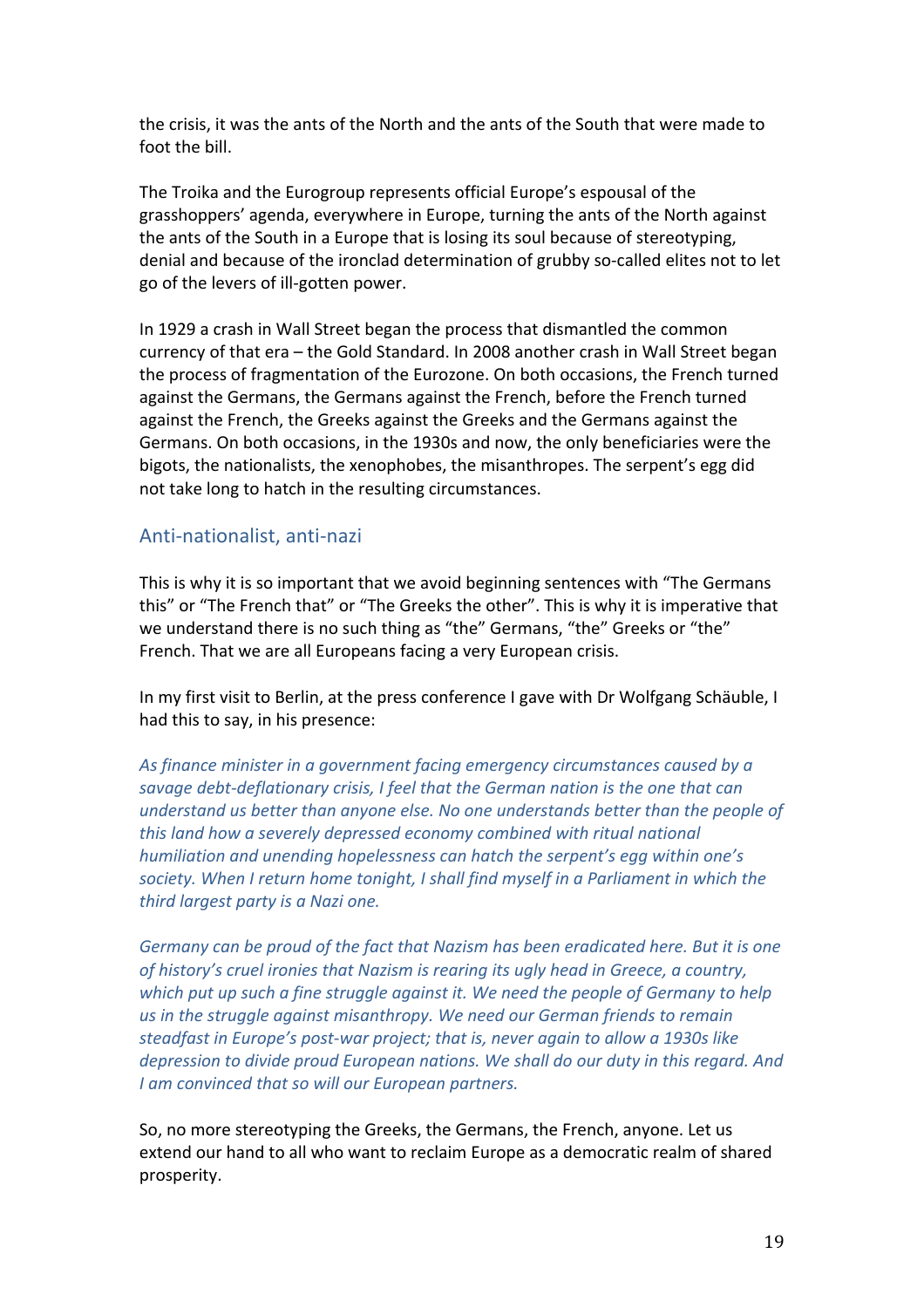the crisis, it was the ants of the North and the ants of the South that were made to foot the bill.

The Troika and the Eurogroup represents official Europe's espousal of the grasshoppers' agenda, everywhere in Europe, turning the ants of the North against the ants of the South in a Europe that is losing its soul because of stereotyping, denial and because of the ironclad determination of grubby so-called elites not to let go of the levers of ill-gotten power.

In 1929 a crash in Wall Street began the process that dismantled the common currency of that era – the Gold Standard. In 2008 another crash in Wall Street began the process of fragmentation of the Eurozone. On both occasions, the French turned against the Germans, the Germans against the French, before the French turned against the French, the Greeks against the Greeks and the Germans against the Germans. On both occasions, in the 1930s and now, the only beneficiaries were the bigots, the nationalists, the xenophobes, the misanthropes. The serpent's egg did not take long to hatch in the resulting circumstances.

### Anti-nationalist, anti-nazi

This is why it is so important that we avoid beginning sentences with "The Germans" this" or "The French that" or "The Greeks the other". This is why it is imperative that we understand there is no such thing as "the" Germans, "the" Greeks or "the" French. That we are all Europeans facing a very European crisis.

In my first visit to Berlin, at the press conference I gave with Dr Wolfgang Schäuble, I had this to say, in his presence:

As finance minister in a government facing emergency circumstances caused by a savage debt-deflationary crisis, I feel that the German nation is the one that can *understand us better than anyone else. No one understands better than the people of* this land how a severely depressed economy combined with ritual national *humiliation and unending hopelessness can hatch the serpent's egg within one's* society. When I return home tonight, I shall find myself in a Parliament in which the *third largest party is a Nazi one.* 

Germany can be proud of the fact that Nazism has been eradicated here. But it is one of history's cruel ironies that Nazism is rearing its ugly head in Greece, a country, which put up such a fine struggle against it. We need the people of Germany to help us in the struggle against misanthropy. We need our German friends to remain steadfast in Europe's post-war project; that is, never again to allow a 1930s like *depression to divide proud European nations. We shall do our duty in this regard. And I* am convinced that so will our European partners.

So, no more stereotyping the Greeks, the Germans, the French, anyone. Let us extend our hand to all who want to reclaim Europe as a democratic realm of shared prosperity.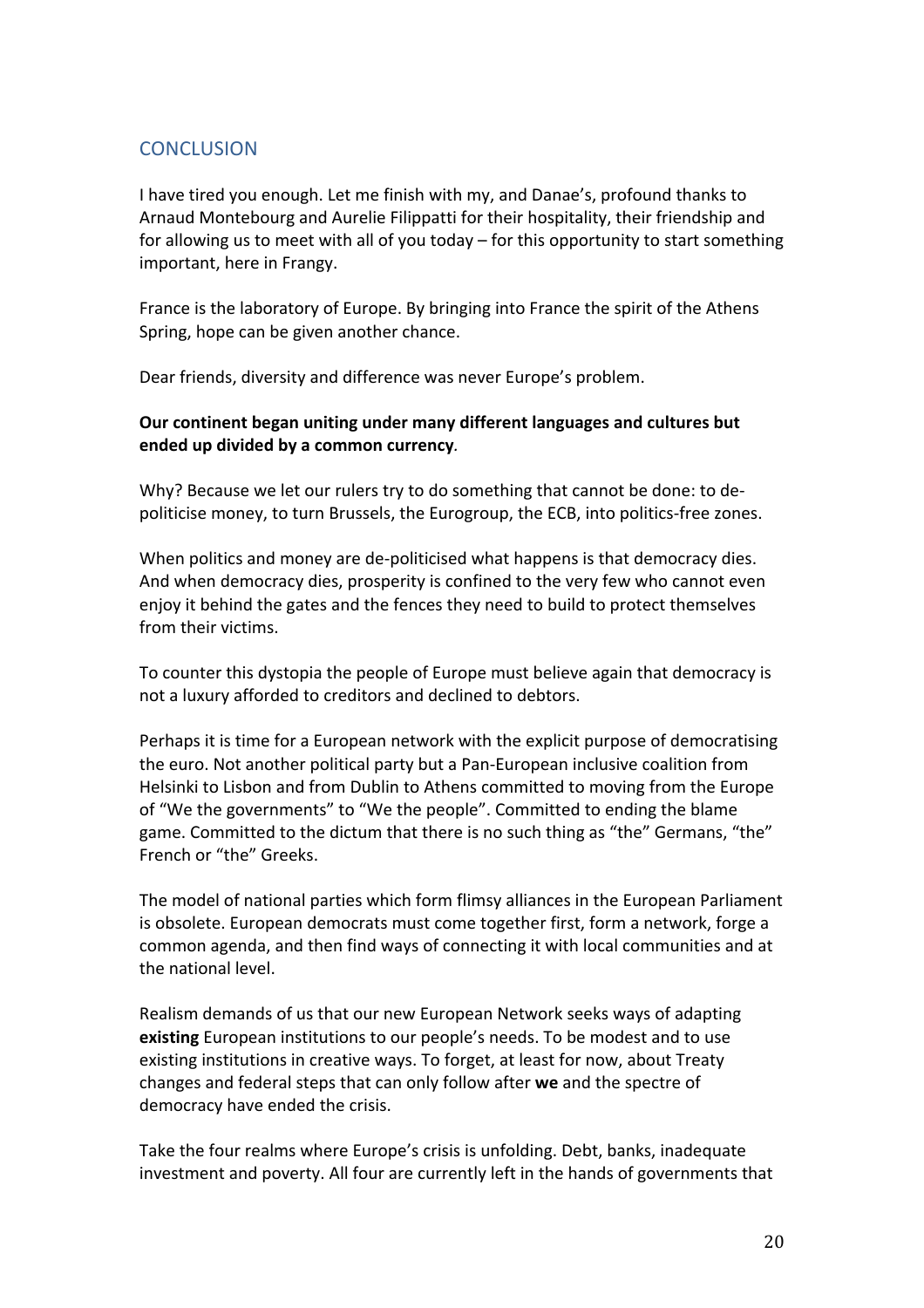## **CONCLUSION**

I have tired you enough. Let me finish with my, and Danae's, profound thanks to Arnaud Montebourg and Aurelie Filippatti for their hospitality, their friendship and for allowing us to meet with all of you today  $-$  for this opportunity to start something important, here in Frangy.

France is the laboratory of Europe. By bringing into France the spirit of the Athens Spring, hope can be given another chance.

Dear friends, diversity and difference was never Europe's problem.

### **Our** continent began uniting under many different languages and cultures but ended up divided by a common currency.

Why? Because we let our rulers try to do something that cannot be done: to depoliticise money, to turn Brussels, the Eurogroup, the ECB, into politics-free zones.

When politics and money are de-politicised what happens is that democracy dies. And when democracy dies, prosperity is confined to the very few who cannot even enjoy it behind the gates and the fences they need to build to protect themselves from their victims.

To counter this dystopia the people of Europe must believe again that democracy is not a luxury afforded to creditors and declined to debtors.

Perhaps it is time for a European network with the explicit purpose of democratising the euro. Not another political party but a Pan-European inclusive coalition from Helsinki to Lisbon and from Dublin to Athens committed to moving from the Europe of "We the governments" to "We the people". Committed to ending the blame game. Committed to the dictum that there is no such thing as "the" Germans, "the" French or "the" Greeks.

The model of national parties which form flimsy alliances in the European Parliament is obsolete. European democrats must come together first, form a network, forge a common agenda, and then find ways of connecting it with local communities and at the national level.

Realism demands of us that our new European Network seeks ways of adapting **existing** European institutions to our people's needs. To be modest and to use existing institutions in creative ways. To forget, at least for now, about Treaty changes and federal steps that can only follow after we and the spectre of democracy have ended the crisis.

Take the four realms where Europe's crisis is unfolding. Debt, banks, inadequate investment and poverty. All four are currently left in the hands of governments that